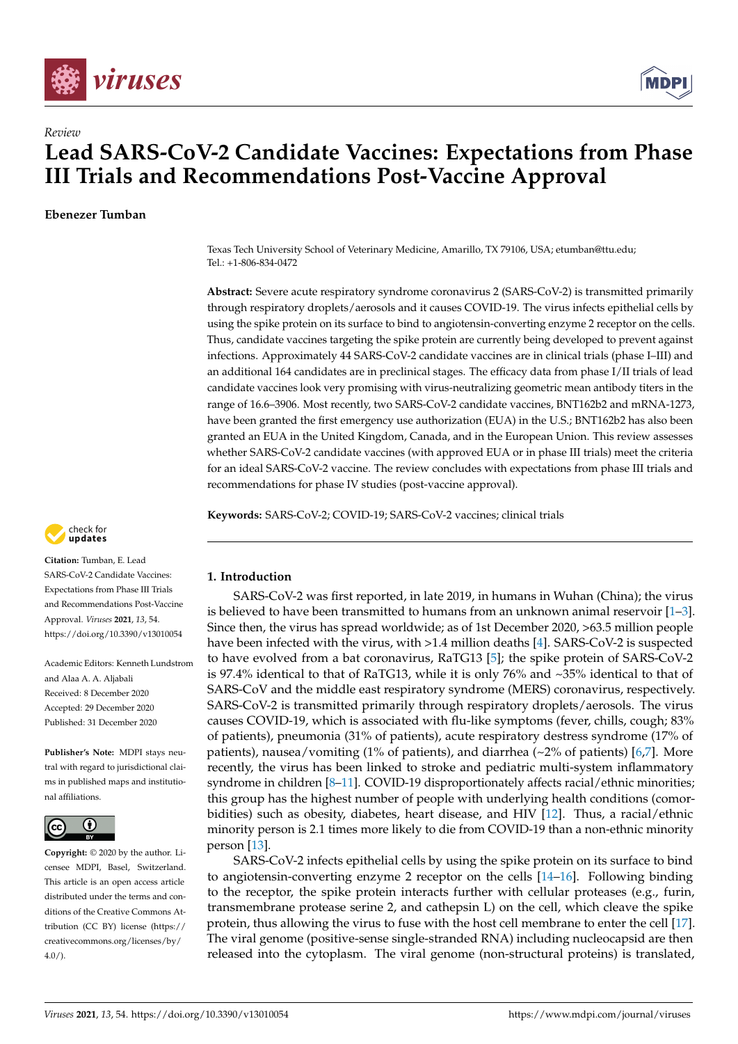



# *Review* **Lead SARS-CoV-2 Candidate Vaccines: Expectations from Phase III Trials and Recommendations Post-Vaccine Approval**

**Ebenezer Tumban**

Texas Tech University School of Veterinary Medicine, Amarillo, TX 79106, USA; etumban@ttu.edu; Tel.: +1-806-834-0472

**Abstract:** Severe acute respiratory syndrome coronavirus 2 (SARS-CoV-2) is transmitted primarily through respiratory droplets/aerosols and it causes COVID-19. The virus infects epithelial cells by using the spike protein on its surface to bind to angiotensin-converting enzyme 2 receptor on the cells. Thus, candidate vaccines targeting the spike protein are currently being developed to prevent against infections. Approximately 44 SARS-CoV-2 candidate vaccines are in clinical trials (phase I–III) and an additional 164 candidates are in preclinical stages. The efficacy data from phase I/II trials of lead candidate vaccines look very promising with virus-neutralizing geometric mean antibody titers in the range of 16.6–3906. Most recently, two SARS-CoV-2 candidate vaccines, BNT162b2 and mRNA-1273, have been granted the first emergency use authorization (EUA) in the U.S.; BNT162b2 has also been granted an EUA in the United Kingdom, Canada, and in the European Union. This review assesses whether SARS-CoV-2 candidate vaccines (with approved EUA or in phase III trials) meet the criteria for an ideal SARS-CoV-2 vaccine. The review concludes with expectations from phase III trials and recommendations for phase IV studies (post-vaccine approval).

**Keywords:** SARS-CoV-2; COVID-19; SARS-CoV-2 vaccines; clinical trials



**Citation:** Tumban, E. Lead SARS-CoV-2 Candidate Vaccines: Expectations from Phase III Trials and Recommendations Post-Vaccine Approval. *Viruses* **2021**, *13*, 54. <https://doi.org/10.3390/v13010054>

Academic Editors: Kenneth Lundstrom and Alaa A. A. Aljabali Received: 8 December 2020 Accepted: 29 December 2020 Published: 31 December 2020

**Publisher's Note:** MDPI stays neutral with regard to jurisdictional claims in published maps and institutional affiliations.



**Copyright:** © 2020 by the author. Licensee MDPI, Basel, Switzerland. This article is an open access article distributed under the terms and conditions of the Creative Commons Attribution (CC BY) license [\(https://](https://creativecommons.org/licenses/by/4.0/) [creativecommons.org/licenses/by/](https://creativecommons.org/licenses/by/4.0/)  $4.0/$ ).

# **1. Introduction**

SARS-CoV-2 was first reported, in late 2019, in humans in Wuhan (China); the virus is believed to have been transmitted to humans from an unknown animal reservoir  $[1-3]$  $[1-3]$ . Since then, the virus has spread worldwide; as of 1st December 2020, >63.5 million people have been infected with the virus, with >1.4 million deaths [\[4\]](#page-14-2). SARS-CoV-2 is suspected to have evolved from a bat coronavirus, RaTG13 [\[5\]](#page-15-0); the spike protein of SARS-CoV-2 is 97.4% identical to that of RaTG13, while it is only 76% and ~35% identical to that of SARS-CoV and the middle east respiratory syndrome (MERS) coronavirus, respectively. SARS-CoV-2 is transmitted primarily through respiratory droplets/aerosols. The virus causes COVID-19, which is associated with flu-like symptoms (fever, chills, cough; 83% of patients), pneumonia (31% of patients), acute respiratory destress syndrome (17% of patients), nausea/vomiting (1% of patients), and diarrhea ( $\sim$ 2% of patients) [\[6,](#page-15-1)[7\]](#page-15-2). More recently, the virus has been linked to stroke and pediatric multi-system inflammatory syndrome in children [\[8–](#page-15-3)[11\]](#page-15-4). COVID-19 disproportionately affects racial/ethnic minorities; this group has the highest number of people with underlying health conditions (comorbidities) such as obesity, diabetes, heart disease, and HIV [\[12\]](#page-15-5). Thus, a racial/ethnic minority person is 2.1 times more likely to die from COVID-19 than a non-ethnic minority person [\[13\]](#page-15-6).

SARS-CoV-2 infects epithelial cells by using the spike protein on its surface to bind to angiotensin-converting enzyme 2 receptor on the cells  $[14–16]$  $[14–16]$ . Following binding to the receptor, the spike protein interacts further with cellular proteases (e.g., furin, transmembrane protease serine 2, and cathepsin L) on the cell, which cleave the spike protein, thus allowing the virus to fuse with the host cell membrane to enter the cell [\[17\]](#page-15-9). The viral genome (positive-sense single-stranded RNA) including nucleocapsid are then released into the cytoplasm. The viral genome (non-structural proteins) is translated,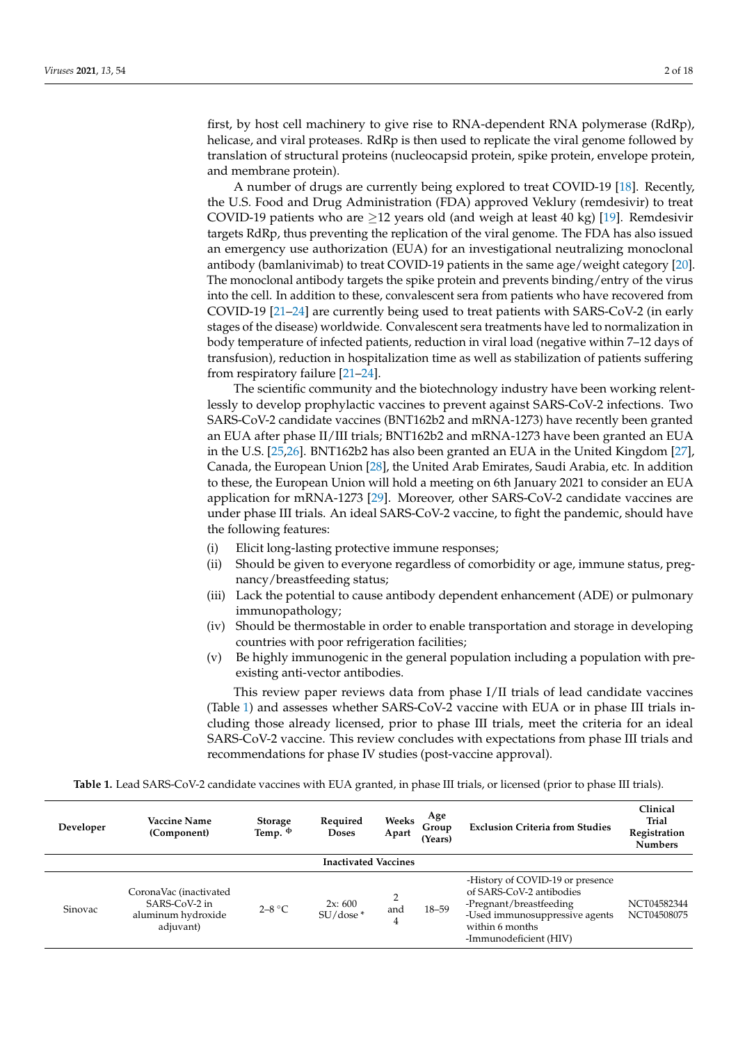first, by host cell machinery to give rise to RNA-dependent RNA polymerase (RdRp), helicase, and viral proteases. RdRp is then used to replicate the viral genome followed by translation of structural proteins (nucleocapsid protein, spike protein, envelope protein, and membrane protein).

A number of drugs are currently being explored to treat COVID-19 [\[18\]](#page-15-10). Recently, the U.S. Food and Drug Administration (FDA) approved Veklury (remdesivir) to treat COVID-19 patients who are  $\geq$ 12 years old (and weigh at least 40 kg) [\[19\]](#page-15-11). Remdesivir targets RdRp, thus preventing the replication of the viral genome. The FDA has also issued an emergency use authorization (EUA) for an investigational neutralizing monoclonal antibody (bamlanivimab) to treat COVID-19 patients in the same age/weight category [\[20\]](#page-15-12). The monoclonal antibody targets the spike protein and prevents binding/entry of the virus into the cell. In addition to these, convalescent sera from patients who have recovered from COVID-19 [\[21–](#page-15-13)[24\]](#page-15-14) are currently being used to treat patients with SARS-CoV-2 (in early stages of the disease) worldwide. Convalescent sera treatments have led to normalization in body temperature of infected patients, reduction in viral load (negative within 7–12 days of transfusion), reduction in hospitalization time as well as stabilization of patients suffering from respiratory failure [\[21–](#page-15-13)[24\]](#page-15-14).

The scientific community and the biotechnology industry have been working relentlessly to develop prophylactic vaccines to prevent against SARS-CoV-2 infections. Two SARS-CoV-2 candidate vaccines (BNT162b2 and mRNA-1273) have recently been granted an EUA after phase II/III trials; BNT162b2 and mRNA-1273 have been granted an EUA in the U.S. [\[25](#page-15-15)[,26\]](#page-15-16). BNT162b2 has also been granted an EUA in the United Kingdom [\[27\]](#page-15-17), Canada, the European Union [\[28\]](#page-15-18), the United Arab Emirates, Saudi Arabia, etc. In addition to these, the European Union will hold a meeting on 6th January 2021 to consider an EUA application for mRNA-1273 [\[29\]](#page-15-19). Moreover, other SARS-CoV-2 candidate vaccines are under phase III trials. An ideal SARS-CoV-2 vaccine, to fight the pandemic, should have the following features:

- (i) Elicit long-lasting protective immune responses;
- (ii) Should be given to everyone regardless of comorbidity or age, immune status, pregnancy/breastfeeding status;
- (iii) Lack the potential to cause antibody dependent enhancement (ADE) or pulmonary immunopathology;
- (iv) Should be thermostable in order to enable transportation and storage in developing countries with poor refrigeration facilities;
- (v) Be highly immunogenic in the general population including a population with preexisting anti-vector antibodies.

This review paper reviews data from phase I/II trials of lead candidate vaccines (Table [1\)](#page-3-0) and assesses whether SARS-CoV-2 vaccine with EUA or in phase III trials including those already licensed, prior to phase III trials, meet the criteria for an ideal SARS-CoV-2 vaccine. This review concludes with expectations from phase III trials and recommendations for phase IV studies (post-vaccine approval).

**Table 1.** Lead SARS-CoV-2 candidate vaccines with EUA granted, in phase III trials, or licensed (prior to phase III trials).

| Developer                   | <b>Vaccine Name</b><br>(Component)                                         | <b>Storage</b><br>Temp. $\Phi$ | Required<br><b>Doses</b> | Weeks<br>Apart             | Age<br>Group<br>(Years) | <b>Exclusion Criteria from Studies</b>                                                                                                                                 | Clinical<br>Trial<br>Registration<br><b>Numbers</b> |  |
|-----------------------------|----------------------------------------------------------------------------|--------------------------------|--------------------------|----------------------------|-------------------------|------------------------------------------------------------------------------------------------------------------------------------------------------------------------|-----------------------------------------------------|--|
| <b>Inactivated Vaccines</b> |                                                                            |                                |                          |                            |                         |                                                                                                                                                                        |                                                     |  |
| Sinovac                     | CoronaVac (inactivated<br>SARS-CoV-2 in<br>aluminum hydroxide<br>adjuvant) | $2-8$ °C                       | 2x:600<br>$SU/dose*$     | $\overline{2}$<br>and<br>4 | $18 - 59$               | -History of COVID-19 or presence<br>of SARS-CoV-2 antibodies<br>-Pregnant/breastfeeding<br>-Used immunosuppressive agents<br>within 6 months<br>-Immunodeficient (HIV) | NCT04582344<br>NCT04508075                          |  |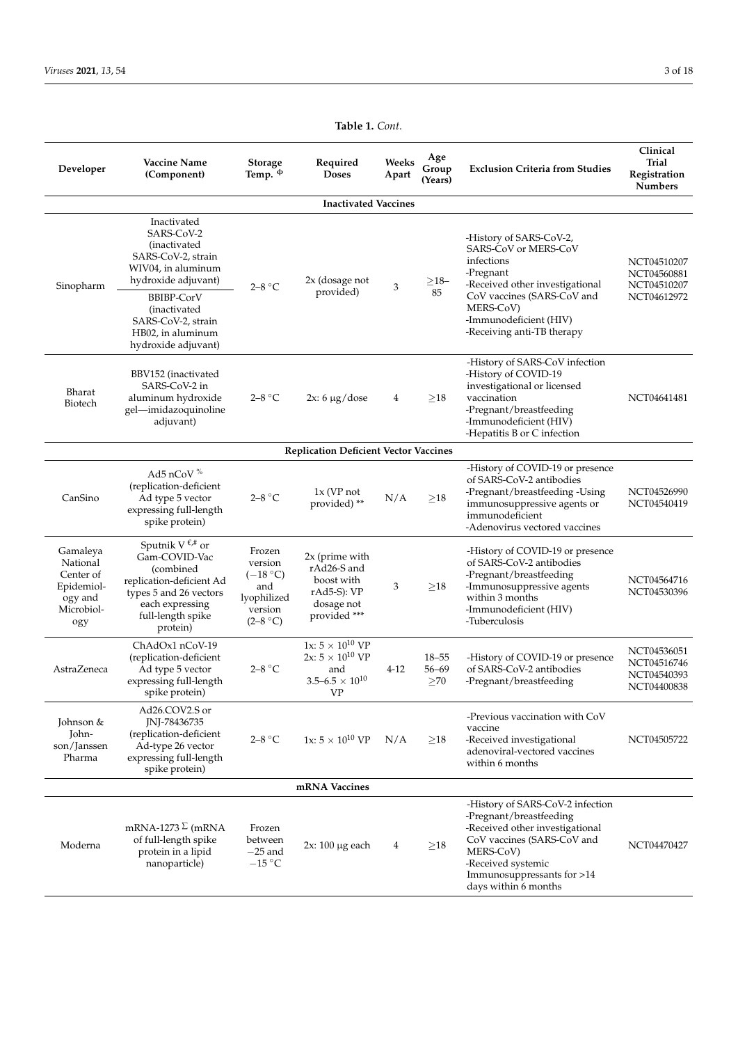| Developer                                                                       | <b>Vaccine Name</b><br>(Component)                                                                                                                                           | <b>Storage</b><br>Temp. <sup><math>\Phi</math></sup>                           | Required<br><b>Doses</b>                                                                            | Weeks<br>Apart | Age<br>Group<br>(Years)             | <b>Exclusion Criteria from Studies</b>                                                                                                                                                                                | Clinical<br><b>Trial</b><br>Registration<br><b>Numbers</b> |  |
|---------------------------------------------------------------------------------|------------------------------------------------------------------------------------------------------------------------------------------------------------------------------|--------------------------------------------------------------------------------|-----------------------------------------------------------------------------------------------------|----------------|-------------------------------------|-----------------------------------------------------------------------------------------------------------------------------------------------------------------------------------------------------------------------|------------------------------------------------------------|--|
|                                                                                 |                                                                                                                                                                              |                                                                                | <b>Inactivated Vaccines</b>                                                                         |                |                                     |                                                                                                                                                                                                                       |                                                            |  |
| Sinopharm                                                                       | Inactivated<br>SARS-CoV-2<br>(inactivated<br>SARS-CoV-2, strain<br>WIV04, in aluminum<br>hydroxide adjuvant)<br><b>BBIBP-CorV</b>                                            | $2 - 8$ °C                                                                     | 2x (dosage not<br>provided)                                                                         | 3              | ${\geq}18-$<br>85                   | -History of SARS-CoV-2,<br>SARS-CoV or MERS-CoV<br>infections<br>-Pregnant<br>-Received other investigational<br>CoV vaccines (SARS-CoV and<br>MERS-CoV)<br>-Immunodeficient (HIV)<br>-Receiving anti-TB therapy      | NCT04510207<br>NCT04560881<br>NCT04510207<br>NCT04612972   |  |
|                                                                                 | (inactivated<br>SARS-CoV-2, strain<br>HB02, in aluminum<br>hydroxide adjuvant)                                                                                               |                                                                                |                                                                                                     |                |                                     |                                                                                                                                                                                                                       |                                                            |  |
| Bharat<br>Biotech                                                               | BBV152 (inactivated<br>SARS-CoV-2 in<br>aluminum hydroxide<br>gel-imidazoquinoline<br>adjuvant)                                                                              | $2-8$ °C                                                                       | $2x: 6 \mu g /$ dose                                                                                | $\overline{4}$ | $\geq$ 18                           | -History of SARS-CoV infection<br>-History of COVID-19<br>investigational or licensed<br>vaccination<br>-Pregnant/breastfeeding<br>-Immunodeficient (HIV)<br>-Hepatitis B or C infection                              | NCT04641481                                                |  |
|                                                                                 |                                                                                                                                                                              |                                                                                | <b>Replication Deficient Vector Vaccines</b>                                                        |                |                                     |                                                                                                                                                                                                                       |                                                            |  |
| CanSino                                                                         | Ad5 nCoV $%$<br>(replication-deficient<br>Ad type 5 vector<br>expressing full-length<br>spike protein)                                                                       | $2-8$ °C                                                                       | $1x$ (VP not<br>provided)**                                                                         | N/A            | ${\geq}18$                          | -History of COVID-19 or presence<br>of SARS-CoV-2 antibodies<br>-Pregnant/breastfeeding-Using<br>immunosuppressive agents or<br>immunodeficient<br>-Adenovirus vectored vaccines                                      | NCT04526990<br>NCT04540419                                 |  |
| Gamaleya<br>National<br>Center of<br>Epidemiol-<br>ogy and<br>Microbiol-<br>ogy | Sputnik V $\epsilon$ <sup>#</sup> or<br>Gam-COVID-Vac<br>(combined<br>replication-deficient Ad<br>types 5 and 26 vectors<br>each expressing<br>full-length spike<br>protein) | Frozen<br>version<br>$(-18 °C)$<br>and<br>lyophilized<br>version<br>$(2-8 °C)$ | $2x$ (prime with<br>rAd26-S and<br>boost with<br>$rAd5-S$ : VP<br>dosage not<br>provided ***        | 3              | $\geq$ 18                           | -History of COVID-19 or presence<br>of SARS-CoV-2 antibodies<br>-Pregnant/breastfeeding<br>-Immunosuppressive agents<br>within 3 months<br>-Immunodeficient (HIV)<br>-Tuberculosis                                    | NCT04564716<br>NCT04530396                                 |  |
| AstraZeneca                                                                     | ChAdOx1 nCoV-19<br>(replication-deficient<br>Ad type 5 vector<br>expressing full-length<br>spike protein)                                                                    | $2-8$ °C                                                                       | 1x: $5 \times 10^{10}$ VP<br>2x: $5\times10^{10}$ VP<br>and<br>$3.5\text{--}6.5\times10^{10}$<br>VP | $4 - 12$       | $18 - 55$<br>$56 - 69$<br>$\geq$ 70 | -History of COVID-19 or presence<br>of SARS-CoV-2 antibodies<br>-Pregnant/breastfeeding                                                                                                                               | NCT04536051<br>NCT04516746<br>NCT04540393<br>NCT04400838   |  |
| Johnson &<br>John-<br>son/Janssen<br>Pharma                                     | Ad26.COV2.S or<br>JNJ-78436735<br>(replication-deficient<br>Ad-type 26 vector<br>expressing full-length<br>spike protein)                                                    | $2-8$ °C                                                                       | 1x: $5 \times 10^{10}$ VP                                                                           | N/A            | >18                                 | -Previous vaccination with CoV<br>vaccine<br>-Received investigational<br>adenoviral-vectored vaccines<br>within 6 months                                                                                             | NCT04505722                                                |  |
| mRNA Vaccines                                                                   |                                                                                                                                                                              |                                                                                |                                                                                                     |                |                                     |                                                                                                                                                                                                                       |                                                            |  |
| Moderna                                                                         | mRNA-1273 $\Sigma$ (mRNA<br>of full-length spike<br>protein in a lipid<br>nanoparticle)                                                                                      | Frozen<br>between<br>$-25$ and<br>$-15$ °C                                     | $2x: 100 \mu g$ each                                                                                | 4              | >18                                 | -History of SARS-CoV-2 infection<br>-Pregnant/breastfeeding<br>-Received other investigational<br>CoV vaccines (SARS-CoV and<br>MERS-CoV)<br>-Received systemic<br>Immunosuppressants for >14<br>days within 6 months | NCT04470427                                                |  |

**Table 1.** *Cont.*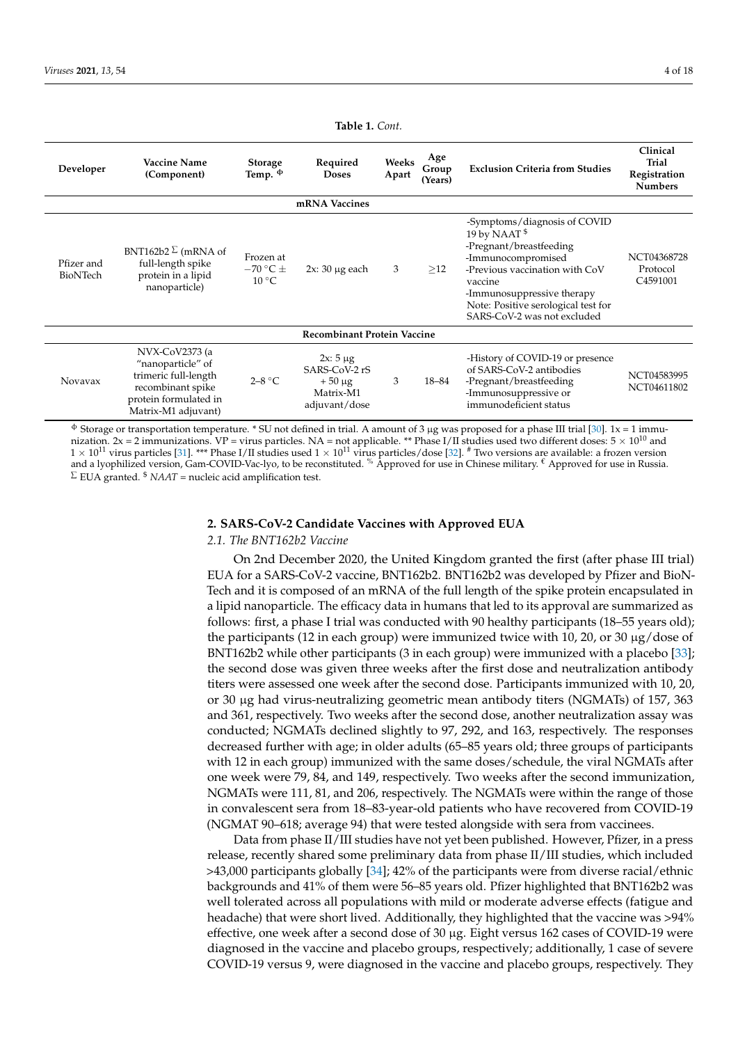<span id="page-3-0"></span>

| Developer                          | <b>Vaccine Name</b><br>(Component)                                                                                               | <b>Storage</b><br>Temp. $\Phi$                | Required<br><b>Doses</b>                                                    | Weeks<br>Apart | Age<br>Group<br>(Years) | <b>Exclusion Criteria from Studies</b>                                                                                                                                                                                                                     | Clinical<br><b>Trial</b><br>Registration<br><b>Numbers</b> |  |  |
|------------------------------------|----------------------------------------------------------------------------------------------------------------------------------|-----------------------------------------------|-----------------------------------------------------------------------------|----------------|-------------------------|------------------------------------------------------------------------------------------------------------------------------------------------------------------------------------------------------------------------------------------------------------|------------------------------------------------------------|--|--|
| mRNA Vaccines                      |                                                                                                                                  |                                               |                                                                             |                |                         |                                                                                                                                                                                                                                                            |                                                            |  |  |
| Pfizer and<br>BioNTech             | BNT162b2 $\Sigma$ (mRNA of<br>full-length spike<br>protein in a lipid<br>nanoparticle)                                           | Frozen at<br>$-70$ °C $\pm$<br>$10^{\circ}$ C | $2x: 30 \mu$ g each                                                         | 3              | >12                     | -Symptoms/diagnosis of COVID<br>19 by NAAT <sup>\$</sup><br>-Pregnant/breastfeeding<br>-Immunocompromised<br>-Previous vaccination with CoV<br>vaccine<br>-Immunosuppressive therapy<br>Note: Positive serological test for<br>SARS-CoV-2 was not excluded | NCT04368728<br>Protocol<br>C4591001                        |  |  |
| <b>Recombinant Protein Vaccine</b> |                                                                                                                                  |                                               |                                                                             |                |                         |                                                                                                                                                                                                                                                            |                                                            |  |  |
| Novavax                            | NVX-CoV2373 (a<br>"nanoparticle" of<br>trimeric full-length<br>recombinant spike<br>protein formulated in<br>Matrix-M1 adjuvant) | $2 - 8$ °C                                    | $2x: 5 \mu g$<br>SARS-CoV-2 rS<br>$+50 \mu g$<br>Matrix-M1<br>adjuvant/dose | 3              | 18-84                   | -History of COVID-19 or presence<br>of SARS-CoV-2 antibodies<br>-Pregnant/breastfeeding<br>-Immunosuppressive or<br>immunodeficient status                                                                                                                 | NCT04583995<br>NCT04611802                                 |  |  |

**Table 1.** *Cont.*

 $\Phi$  Storage or transportation temperature. \* SU not defined in trial. A amount of 3 μg was proposed for a phase III trial [\[30\]](#page-15-20). 1x = 1 immunization.  $2x = 2$  immunizations.  $VP =$  virus particles. NA = not applicable. \*\* Phase I/II studies used two different doses:  $5 \times 10^{10}$  and  $1 \times 10^{11}$  virus particles [\[31\]](#page-16-0). \*\*\* Phase I/II studies used  $1 \times 10^{11}$  virus particles/dose [\[32\]](#page-16-1). # Two versions are available: a frozen version and a lyophilized version, Gam-COVID-Vac-lyo, to be reconstituted. % Approved for use in Chinese military. € Approved for use in Russia.  $\Sigma$  EUA granted.  $\delta$  *NAAT* = nucleic acid amplification test.

## **2. SARS-CoV-2 Candidate Vaccines with Approved EUA**

## *2.1. The BNT162b2 Vaccine*

On 2nd December 2020, the United Kingdom granted the first (after phase III trial) EUA for a SARS-CoV-2 vaccine, BNT162b2. BNT162b2 was developed by Pfizer and BioN-Tech and it is composed of an mRNA of the full length of the spike protein encapsulated in a lipid nanoparticle. The efficacy data in humans that led to its approval are summarized as follows: first, a phase I trial was conducted with 90 healthy participants (18–55 years old); the participants (12 in each group) were immunized twice with 10, 20, or 30  $\mu$ g/dose of BNT162b2 while other participants (3 in each group) were immunized with a placebo [\[33\]](#page-16-2); the second dose was given three weeks after the first dose and neutralization antibody titers were assessed one week after the second dose. Participants immunized with 10, 20, or 30 µg had virus-neutralizing geometric mean antibody titers (NGMATs) of 157, 363 and 361, respectively. Two weeks after the second dose, another neutralization assay was conducted; NGMATs declined slightly to 97, 292, and 163, respectively. The responses decreased further with age; in older adults (65–85 years old; three groups of participants with 12 in each group) immunized with the same doses/schedule, the viral NGMATs after one week were 79, 84, and 149, respectively. Two weeks after the second immunization, NGMATs were 111, 81, and 206, respectively. The NGMATs were within the range of those in convalescent sera from 18–83-year-old patients who have recovered from COVID-19 (NGMAT 90–618; average 94) that were tested alongside with sera from vaccinees.

Data from phase II/III studies have not yet been published. However, Pfizer, in a press release, recently shared some preliminary data from phase II/III studies, which included >43,000 participants globally [\[34\]](#page-16-3); 42% of the participants were from diverse racial/ethnic backgrounds and 41% of them were 56–85 years old. Pfizer highlighted that BNT162b2 was well tolerated across all populations with mild or moderate adverse effects (fatigue and headache) that were short lived. Additionally, they highlighted that the vaccine was >94% effective, one week after a second dose of 30 µg. Eight versus 162 cases of COVID-19 were diagnosed in the vaccine and placebo groups, respectively; additionally, 1 case of severe COVID-19 versus 9, were diagnosed in the vaccine and placebo groups, respectively. They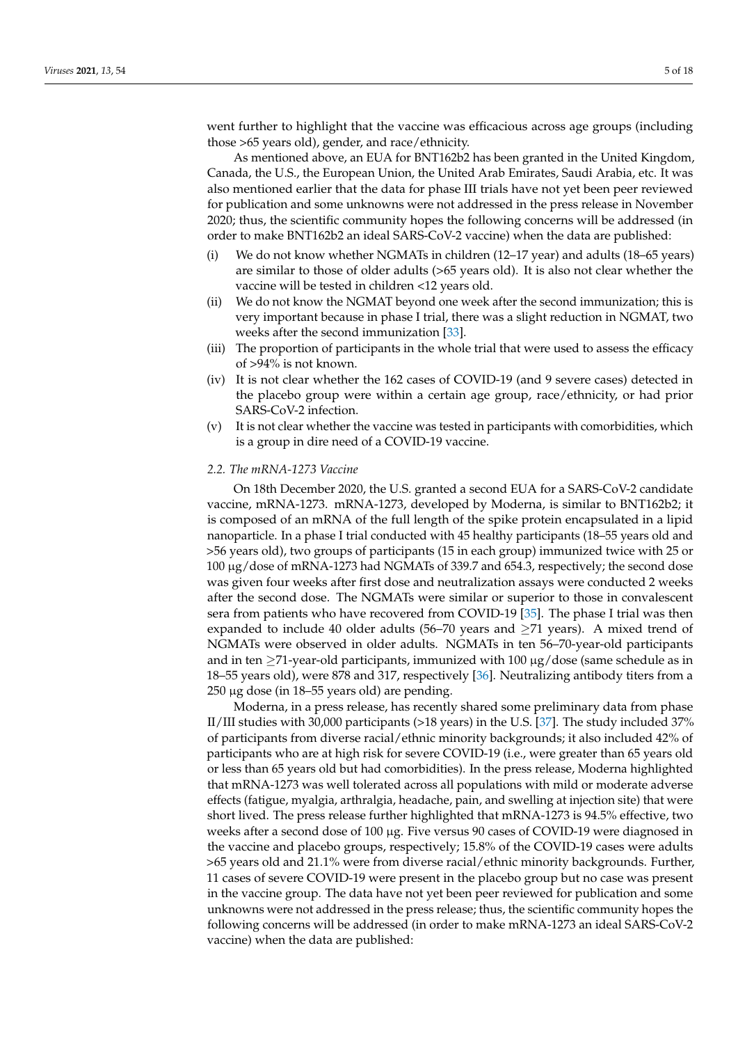went further to highlight that the vaccine was efficacious across age groups (including those >65 years old), gender, and race/ethnicity.

As mentioned above, an EUA for BNT162b2 has been granted in the United Kingdom, Canada, the U.S., the European Union, the United Arab Emirates, Saudi Arabia, etc. It was also mentioned earlier that the data for phase III trials have not yet been peer reviewed for publication and some unknowns were not addressed in the press release in November 2020; thus, the scientific community hopes the following concerns will be addressed (in order to make BNT162b2 an ideal SARS-CoV-2 vaccine) when the data are published:

- (i) We do not know whether NGMATs in children (12–17 year) and adults (18–65 years) are similar to those of older adults (>65 years old). It is also not clear whether the vaccine will be tested in children <12 years old.
- (ii) We do not know the NGMAT beyond one week after the second immunization; this is very important because in phase I trial, there was a slight reduction in NGMAT, two weeks after the second immunization [\[33\]](#page-16-2).
- (iii) The proportion of participants in the whole trial that were used to assess the efficacy of >94% is not known.
- (iv) It is not clear whether the 162 cases of COVID-19 (and 9 severe cases) detected in the placebo group were within a certain age group, race/ethnicity, or had prior SARS-CoV-2 infection.
- (v) It is not clear whether the vaccine was tested in participants with comorbidities, which is a group in dire need of a COVID-19 vaccine.

#### *2.2. The mRNA-1273 Vaccine*

On 18th December 2020, the U.S. granted a second EUA for a SARS-CoV-2 candidate vaccine, mRNA-1273. mRNA-1273, developed by Moderna, is similar to BNT162b2; it is composed of an mRNA of the full length of the spike protein encapsulated in a lipid nanoparticle. In a phase I trial conducted with 45 healthy participants (18–55 years old and >56 years old), two groups of participants (15 in each group) immunized twice with 25 or 100 µg/dose of mRNA-1273 had NGMATs of 339.7 and 654.3, respectively; the second dose was given four weeks after first dose and neutralization assays were conducted 2 weeks after the second dose. The NGMATs were similar or superior to those in convalescent sera from patients who have recovered from COVID-19 [\[35\]](#page-16-4). The phase I trial was then expanded to include 40 older adults (56–70 years and  $\geq$ 71 years). A mixed trend of NGMATs were observed in older adults. NGMATs in ten 56–70-year-old participants and in ten  $\geq$ 71-year-old participants, immunized with 100  $\mu$ g/dose (same schedule as in 18–55 years old), were 878 and 317, respectively [\[36\]](#page-16-5). Neutralizing antibody titers from a 250 µg dose (in 18–55 years old) are pending.

Moderna, in a press release, has recently shared some preliminary data from phase II/III studies with 30,000 participants (>18 years) in the U.S. [\[37\]](#page-16-6). The study included 37% of participants from diverse racial/ethnic minority backgrounds; it also included 42% of participants who are at high risk for severe COVID-19 (i.e., were greater than 65 years old or less than 65 years old but had comorbidities). In the press release, Moderna highlighted that mRNA-1273 was well tolerated across all populations with mild or moderate adverse effects (fatigue, myalgia, arthralgia, headache, pain, and swelling at injection site) that were short lived. The press release further highlighted that mRNA-1273 is 94.5% effective, two weeks after a second dose of 100 µg. Five versus 90 cases of COVID-19 were diagnosed in the vaccine and placebo groups, respectively; 15.8% of the COVID-19 cases were adults >65 years old and 21.1% were from diverse racial/ethnic minority backgrounds. Further, 11 cases of severe COVID-19 were present in the placebo group but no case was present in the vaccine group. The data have not yet been peer reviewed for publication and some unknowns were not addressed in the press release; thus, the scientific community hopes the following concerns will be addressed (in order to make mRNA-1273 an ideal SARS-CoV-2 vaccine) when the data are published: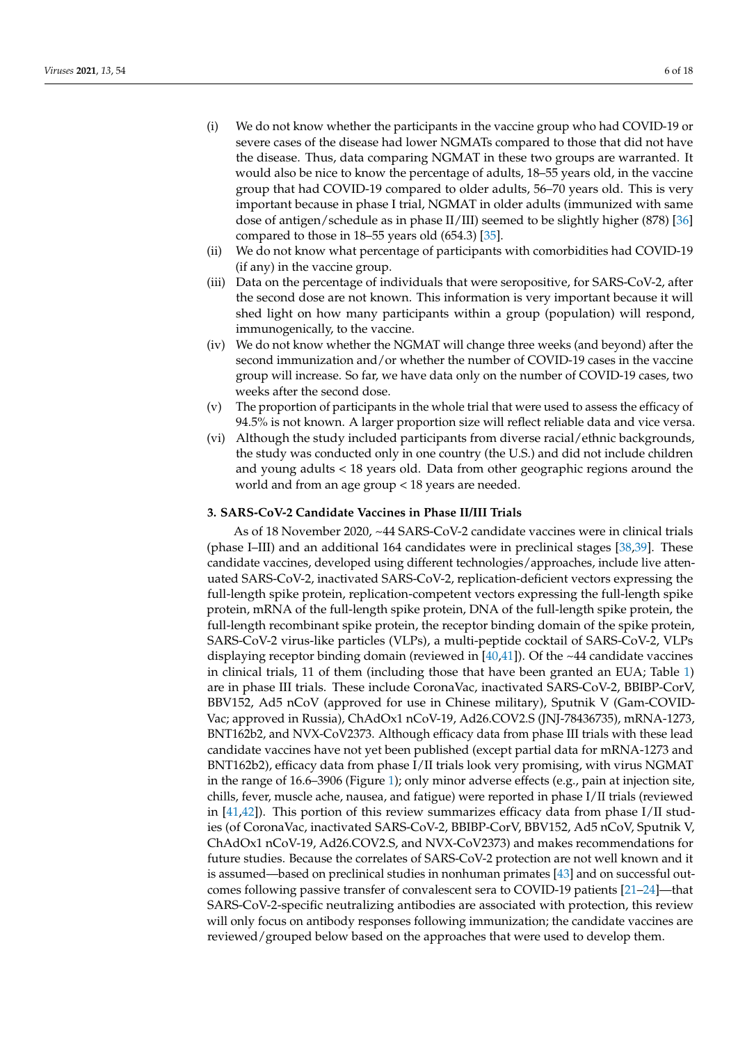- (i) We do not know whether the participants in the vaccine group who had COVID-19 or severe cases of the disease had lower NGMATs compared to those that did not have the disease. Thus, data comparing NGMAT in these two groups are warranted. It would also be nice to know the percentage of adults, 18–55 years old, in the vaccine group that had COVID-19 compared to older adults, 56–70 years old. This is very important because in phase I trial, NGMAT in older adults (immunized with same dose of antigen/schedule as in phase II/III) seemed to be slightly higher (878) [\[36\]](#page-16-5) compared to those in 18–55 years old (654.3) [\[35\]](#page-16-4).
- (ii) We do not know what percentage of participants with comorbidities had COVID-19 (if any) in the vaccine group.
- (iii) Data on the percentage of individuals that were seropositive, for SARS-CoV-2, after the second dose are not known. This information is very important because it will shed light on how many participants within a group (population) will respond, immunogenically, to the vaccine.
- (iv) We do not know whether the NGMAT will change three weeks (and beyond) after the second immunization and/or whether the number of COVID-19 cases in the vaccine group will increase. So far, we have data only on the number of COVID-19 cases, two weeks after the second dose.
- (v) The proportion of participants in the whole trial that were used to assess the efficacy of 94.5% is not known. A larger proportion size will reflect reliable data and vice versa.
- (vi) Although the study included participants from diverse racial/ethnic backgrounds, the study was conducted only in one country (the U.S.) and did not include children and young adults < 18 years old. Data from other geographic regions around the world and from an age group < 18 years are needed.

### **3. SARS-CoV-2 Candidate Vaccines in Phase II/III Trials**

As of 18 November 2020, ~44 SARS-CoV-2 candidate vaccines were in clinical trials (phase I–III) and an additional 164 candidates were in preclinical stages [\[38,](#page-16-7)[39\]](#page-16-8). These candidate vaccines, developed using different technologies/approaches, include live attenuated SARS-CoV-2, inactivated SARS-CoV-2, replication-deficient vectors expressing the full-length spike protein, replication-competent vectors expressing the full-length spike protein, mRNA of the full-length spike protein, DNA of the full-length spike protein, the full-length recombinant spike protein, the receptor binding domain of the spike protein, SARS-CoV-2 virus-like particles (VLPs), a multi-peptide cocktail of SARS-CoV-2, VLPs displaying receptor binding domain (reviewed in  $[40,41]$  $[40,41]$ ). Of the ~44 candidate vaccines in clinical trials, 11 of them (including those that have been granted an EUA; Table [1\)](#page-3-0) are in phase III trials. These include CoronaVac, inactivated SARS-CoV-2, BBIBP-CorV, BBV152, Ad5 nCoV (approved for use in Chinese military), Sputnik V (Gam-COVID-Vac; approved in Russia), ChAdOx1 nCoV-19, Ad26.COV2.S (JNJ-78436735), mRNA-1273, BNT162b2, and NVX-CoV2373. Although efficacy data from phase III trials with these lead candidate vaccines have not yet been published (except partial data for mRNA-1273 and BNT162b2), efficacy data from phase I/II trials look very promising, with virus NGMAT in the range of 16.6–3906 (Figure [1\)](#page-6-0); only minor adverse effects (e.g., pain at injection site, chills, fever, muscle ache, nausea, and fatigue) were reported in phase I/II trials (reviewed in [\[41](#page-16-10)[,42\]](#page-16-11)). This portion of this review summarizes efficacy data from phase I/II studies (of CoronaVac, inactivated SARS-CoV-2, BBIBP-CorV, BBV152, Ad5 nCoV, Sputnik V, ChAdOx1 nCoV-19, Ad26.COV2.S, and NVX-CoV2373) and makes recommendations for future studies. Because the correlates of SARS-CoV-2 protection are not well known and it is assumed—based on preclinical studies in nonhuman primates [\[43\]](#page-16-12) and on successful outcomes following passive transfer of convalescent sera to COVID-19 patients [\[21–](#page-15-13)[24\]](#page-15-14)—that SARS-CoV-2-specific neutralizing antibodies are associated with protection, this review will only focus on antibody responses following immunization; the candidate vaccines are reviewed/grouped below based on the approaches that were used to develop them.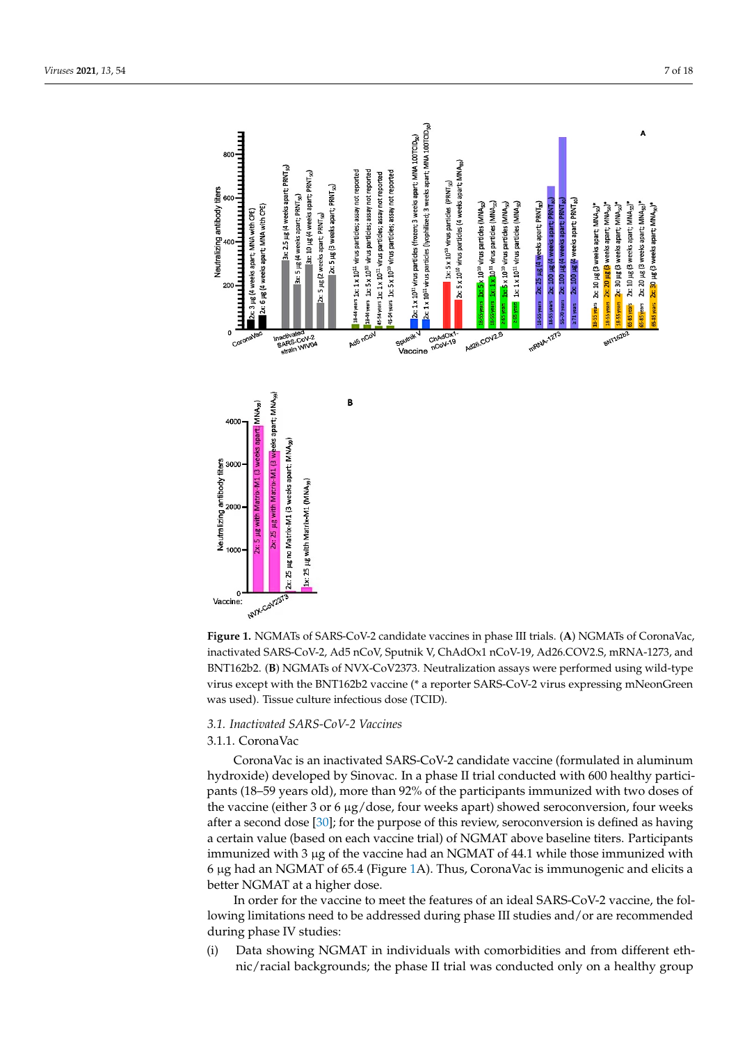<span id="page-6-0"></span>

Figure 1. NGMATs of SARS-CoV-2 candidate vaccines in phase III trials. (A) NGMATs of CoronaVac, inactivated SARS-CoV-2, Ad5 nCoV, Sputnik V, ChAdOx1 nCoV-19, Ad26.COV2.S, mRNA-1273, and BNT162b2. (B) NGMATs of NVX-CoV2373. Neutralization assays were performed using wild-type  $\frac{1}{2}$ virus except with the BNT162b2 vaccine (\* a reporter SARS-CoV-2 virus expressing mNeonGreen was used). Tissue culture infectious dose (TCID).

# *3.1. Inactivated SARS-CoV-2 Vaccines*

# 3.1.1. CoronaVac

CoronaVac is an inactivated SARS-CoV-2 candidate vaccine (formulated in aluminum hydroxide) developed by Sinovac. In a phase II trial conducted with 600 healthy participants (18–59 years old), more than 92% of the participants immunized with two doses of the vaccine (either 3 or 6 µg/dose, four weeks apart) showed seroconversion, four weeks after a second dose [\[30\]](#page-15-20); for the purpose of this review, seroconversion is defined as having a certain value (based on each vaccine trial) of NGMAT above baseline titers. Participants immunized with 3  $\mu$ g of the vaccine had an NGMAT of 44.1 while those immunized with 6  $\mu$ g had an NGMAT of 65.4 (Figure [1A](#page-6-0)). Thus, CoronaVac is immunogenic and elicits a better NGMAT at a higher dose.

In order for the vaccine to meet the features of an ideal SARS-CoV-2 vaccine, the following limitations need to be addressed during phase III studies and/or are recommended during phase IV studies:

(i) Data showing NGMAT in individuals with comorbidities and from different ethnic/racial backgrounds; the phase II trial was conducted only on a healthy group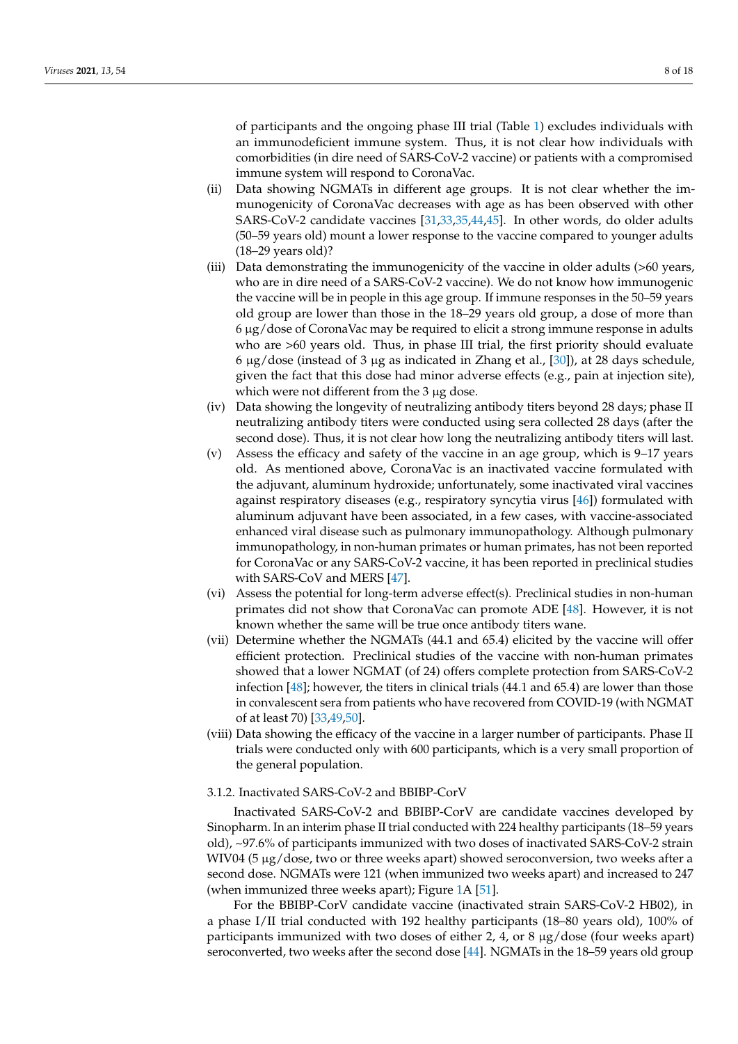of participants and the ongoing phase III trial (Table [1\)](#page-3-0) excludes individuals with an immunodeficient immune system. Thus, it is not clear how individuals with comorbidities (in dire need of SARS-CoV-2 vaccine) or patients with a compromised immune system will respond to CoronaVac.

- (ii) Data showing NGMATs in different age groups. It is not clear whether the immunogenicity of CoronaVac decreases with age as has been observed with other SARS-CoV-2 candidate vaccines [\[31,](#page-16-0)[33,](#page-16-2)[35,](#page-16-4)[44,](#page-16-13)[45\]](#page-16-14). In other words, do older adults (50–59 years old) mount a lower response to the vaccine compared to younger adults (18–29 years old)?
- (iii) Data demonstrating the immunogenicity of the vaccine in older adults (>60 years, who are in dire need of a SARS-CoV-2 vaccine). We do not know how immunogenic the vaccine will be in people in this age group. If immune responses in the 50–59 years old group are lower than those in the 18–29 years old group, a dose of more than 6 µg/dose of CoronaVac may be required to elicit a strong immune response in adults who are >60 years old. Thus, in phase III trial, the first priority should evaluate 6  $\mu$ g/dose (instead of 3  $\mu$ g as indicated in Zhang et al., [\[30\]](#page-15-20)), at 28 days schedule, given the fact that this dose had minor adverse effects (e.g., pain at injection site), which were not different from the 3 µg dose.
- (iv) Data showing the longevity of neutralizing antibody titers beyond 28 days; phase II neutralizing antibody titers were conducted using sera collected 28 days (after the second dose). Thus, it is not clear how long the neutralizing antibody titers will last.
- (v) Assess the efficacy and safety of the vaccine in an age group, which is 9–17 years old. As mentioned above, CoronaVac is an inactivated vaccine formulated with the adjuvant, aluminum hydroxide; unfortunately, some inactivated viral vaccines against respiratory diseases (e.g., respiratory syncytia virus [\[46\]](#page-16-15)) formulated with aluminum adjuvant have been associated, in a few cases, with vaccine-associated enhanced viral disease such as pulmonary immunopathology. Although pulmonary immunopathology, in non-human primates or human primates, has not been reported for CoronaVac or any SARS-CoV-2 vaccine, it has been reported in preclinical studies with SARS-CoV and MERS [\[47\]](#page-16-16).
- (vi) Assess the potential for long-term adverse effect(s). Preclinical studies in non-human primates did not show that CoronaVac can promote ADE [\[48\]](#page-16-17). However, it is not known whether the same will be true once antibody titers wane.
- (vii) Determine whether the NGMATs (44.1 and 65.4) elicited by the vaccine will offer efficient protection. Preclinical studies of the vaccine with non-human primates showed that a lower NGMAT (of 24) offers complete protection from SARS-CoV-2 infection [\[48\]](#page-16-17); however, the titers in clinical trials (44.1 and 65.4) are lower than those in convalescent sera from patients who have recovered from COVID-19 (with NGMAT of at least 70) [\[33](#page-16-2)[,49](#page-16-18)[,50\]](#page-16-19).
- (viii) Data showing the efficacy of the vaccine in a larger number of participants. Phase II trials were conducted only with 600 participants, which is a very small proportion of the general population.

#### 3.1.2. Inactivated SARS-CoV-2 and BBIBP-CorV

Inactivated SARS-CoV-2 and BBIBP-CorV are candidate vaccines developed by Sinopharm. In an interim phase II trial conducted with 224 healthy participants (18–59 years old), ~97.6% of participants immunized with two doses of inactivated SARS-CoV-2 strain WIV04 (5 µg/dose, two or three weeks apart) showed seroconversion, two weeks after a second dose. NGMATs were 121 (when immunized two weeks apart) and increased to 247 (when immunized three weeks apart); Figure [1A](#page-6-0) [\[51\]](#page-16-20).

For the BBIBP-CorV candidate vaccine (inactivated strain SARS-CoV-2 HB02), in a phase I/II trial conducted with 192 healthy participants (18–80 years old), 100% of participants immunized with two doses of either 2, 4, or 8 µg/dose (four weeks apart) seroconverted, two weeks after the second dose [\[44\]](#page-16-13). NGMATs in the 18–59 years old group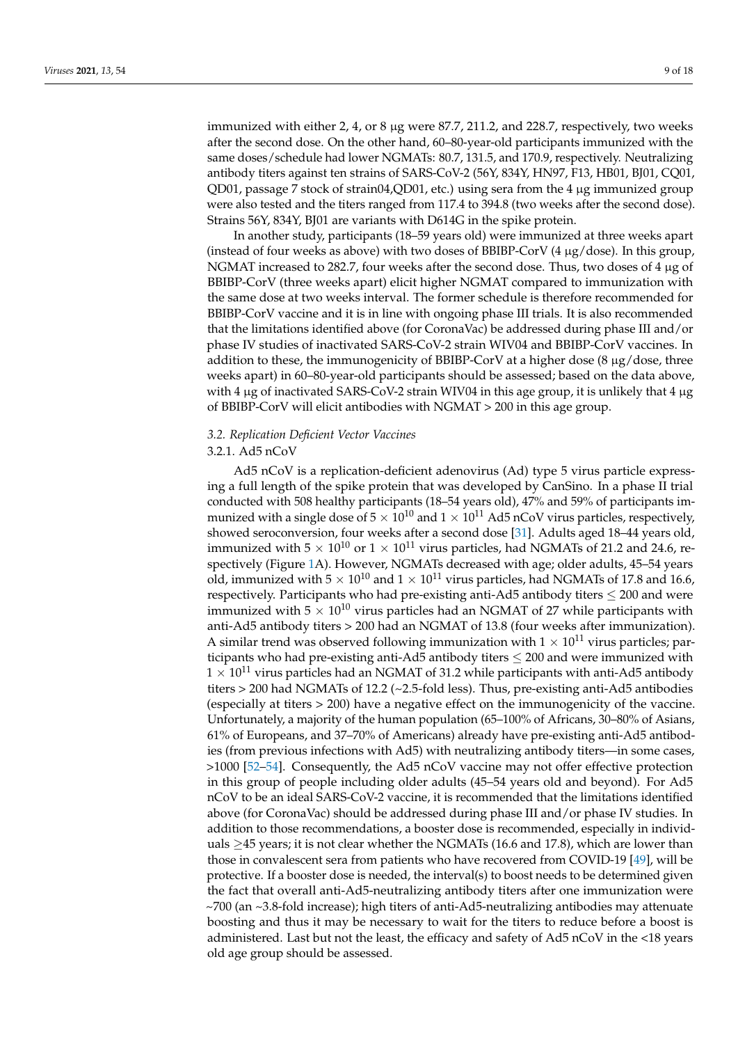immunized with either 2, 4, or 8 µg were 87.7, 211.2, and 228.7, respectively, two weeks after the second dose. On the other hand, 60–80-year-old participants immunized with the same doses/schedule had lower NGMATs: 80.7, 131.5, and 170.9, respectively. Neutralizing antibody titers against ten strains of SARS-CoV-2 (56Y, 834Y, HN97, F13, HB01, BJ01, CQ01, QD01, passage 7 stock of strain04,QD01, etc.) using sera from the 4 µg immunized group were also tested and the titers ranged from 117.4 to 394.8 (two weeks after the second dose). Strains 56Y, 834Y, BJ01 are variants with D614G in the spike protein.

In another study, participants (18–59 years old) were immunized at three weeks apart (instead of four weeks as above) with two doses of BBIBP-CorV  $(4 \mu g/dose)$ . In this group, NGMAT increased to 282.7, four weeks after the second dose. Thus, two doses of 4 µg of BBIBP-CorV (three weeks apart) elicit higher NGMAT compared to immunization with the same dose at two weeks interval. The former schedule is therefore recommended for BBIBP-CorV vaccine and it is in line with ongoing phase III trials. It is also recommended that the limitations identified above (for CoronaVac) be addressed during phase III and/or phase IV studies of inactivated SARS-CoV-2 strain WIV04 and BBIBP-CorV vaccines. In addition to these, the immunogenicity of BBIBP-CorV at a higher dose  $(8 \mu g/d$ ose, three weeks apart) in 60–80-year-old participants should be assessed; based on the data above, with 4 µg of inactivated SARS-CoV-2 strain WIV04 in this age group, it is unlikely that 4 µg of BBIBP-CorV will elicit antibodies with NGMAT > 200 in this age group.

## *3.2. Replication Deficient Vector Vaccines*

#### 3.2.1. Ad5 nCoV

Ad5 nCoV is a replication-deficient adenovirus (Ad) type 5 virus particle expressing a full length of the spike protein that was developed by CanSino. In a phase II trial conducted with 508 healthy participants (18–54 years old), 47% and 59% of participants immunized with a single dose of  $5 \times 10^{10}$  and  $1 \times 10^{11}$  Ad5 nCoV virus particles, respectively, showed seroconversion, four weeks after a second dose [\[31\]](#page-16-0). Adults aged 18–44 years old, immunized with  $5 \times 10^{10}$  or  $1 \times 10^{11}$  virus particles, had NGMATs of 21.2 and 24.6, respectively (Figure [1A](#page-6-0)). However, NGMATs decreased with age; older adults, 45–54 years old, immunized with  $5 \times 10^{10}$  and  $1 \times 10^{11}$  virus particles, had NGMATs of 17.8 and 16.6, respectively. Participants who had pre-existing anti-Ad5 antibody titers  $\leq$  200 and were immunized with  $5 \times 10^{10}$  virus particles had an NGMAT of 27 while participants with anti-Ad5 antibody titers > 200 had an NGMAT of 13.8 (four weeks after immunization). A similar trend was observed following immunization with  $1 \times 10^{11}$  virus particles; participants who had pre-existing anti-Ad5 antibody titers  $\leq$  200 and were immunized with  $1 \times 10^{11}$  virus particles had an NGMAT of 31.2 while participants with anti-Ad5 antibody titers > 200 had NGMATs of 12.2 (~2.5-fold less). Thus, pre-existing anti-Ad5 antibodies (especially at titers > 200) have a negative effect on the immunogenicity of the vaccine. Unfortunately, a majority of the human population (65–100% of Africans, 30–80% of Asians, 61% of Europeans, and 37–70% of Americans) already have pre-existing anti-Ad5 antibodies (from previous infections with Ad5) with neutralizing antibody titers—in some cases, >1000 [\[52–](#page-16-21)[54\]](#page-17-0). Consequently, the Ad5 nCoV vaccine may not offer effective protection in this group of people including older adults (45–54 years old and beyond). For Ad5 nCoV to be an ideal SARS-CoV-2 vaccine, it is recommended that the limitations identified above (for CoronaVac) should be addressed during phase III and/or phase IV studies. In addition to those recommendations, a booster dose is recommended, especially in individuals  $\geq$ 45 years; it is not clear whether the NGMATs (16.6 and 17.8), which are lower than those in convalescent sera from patients who have recovered from COVID-19 [\[49\]](#page-16-18), will be protective. If a booster dose is needed, the interval(s) to boost needs to be determined given the fact that overall anti-Ad5-neutralizing antibody titers after one immunization were ~700 (an ~3.8-fold increase); high titers of anti-Ad5-neutralizing antibodies may attenuate boosting and thus it may be necessary to wait for the titers to reduce before a boost is administered. Last but not the least, the efficacy and safety of Ad5 nCoV in the <18 years old age group should be assessed.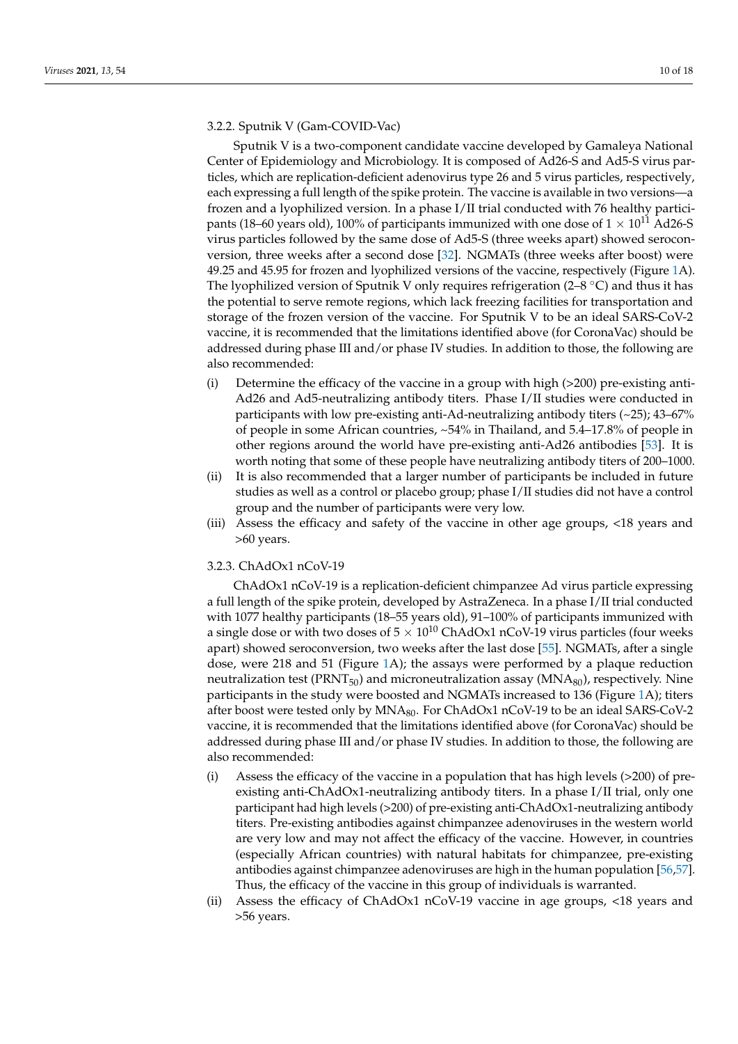## 3.2.2. Sputnik V (Gam-COVID-Vac)

Sputnik V is a two-component candidate vaccine developed by Gamaleya National Center of Epidemiology and Microbiology. It is composed of Ad26-S and Ad5-S virus particles, which are replication-deficient adenovirus type 26 and 5 virus particles, respectively, each expressing a full length of the spike protein. The vaccine is available in two versions—a frozen and a lyophilized version. In a phase I/II trial conducted with 76 healthy participants (18–60 years old), 100% of participants immunized with one dose of  $1 \times 10^{11}$  Ad26-S virus particles followed by the same dose of Ad5-S (three weeks apart) showed seroconversion, three weeks after a second dose [\[32\]](#page-16-1). NGMATs (three weeks after boost) were 49.25 and 45.95 for frozen and lyophilized versions of the vaccine, respectively (Figure [1A](#page-6-0)). The lyophilized version of Sputnik V only requires refrigeration ( $2-8$  °C) and thus it has the potential to serve remote regions, which lack freezing facilities for transportation and storage of the frozen version of the vaccine. For Sputnik V to be an ideal SARS-CoV-2 vaccine, it is recommended that the limitations identified above (for CoronaVac) should be addressed during phase III and/or phase IV studies. In addition to those, the following are also recommended:

- (i) Determine the efficacy of the vaccine in a group with high (>200) pre-existing anti-Ad26 and Ad5-neutralizing antibody titers. Phase I/II studies were conducted in participants with low pre-existing anti-Ad-neutralizing antibody titers (~25); 43–67% of people in some African countries, ~54% in Thailand, and 5.4–17.8% of people in other regions around the world have pre-existing anti-Ad26 antibodies [\[53\]](#page-17-1). It is worth noting that some of these people have neutralizing antibody titers of 200–1000.
- (ii) It is also recommended that a larger number of participants be included in future studies as well as a control or placebo group; phase I/II studies did not have a control group and the number of participants were very low.
- (iii) Assess the efficacy and safety of the vaccine in other age groups, <18 years and >60 years.

## 3.2.3. ChAdOx1 nCoV-19

ChAdOx1 nCoV-19 is a replication-deficient chimpanzee Ad virus particle expressing a full length of the spike protein, developed by AstraZeneca. In a phase I/II trial conducted with 1077 healthy participants (18–55 years old), 91–100% of participants immunized with a single dose or with two doses of  $5 \times 10^{10}$  ChAdOx1 nCoV-19 virus particles (four weeks apart) showed seroconversion, two weeks after the last dose [\[55\]](#page-17-2). NGMATs, after a single dose, were 218 and 51 (Figure [1A](#page-6-0)); the assays were performed by a plaque reduction neutralization test ( $\text{PRNT}_{50}$ ) and microneutralization assay ( $\text{MNA}_{80}$ ), respectively. Nine participants in the study were boosted and NGMATs increased to 136 (Figure [1A](#page-6-0)); titers after boost were tested only by MNA<sub>80</sub>. For ChAdOx1 nCoV-19 to be an ideal SARS-CoV-2 vaccine, it is recommended that the limitations identified above (for CoronaVac) should be addressed during phase III and/or phase IV studies. In addition to those, the following are also recommended:

- (i) Assess the efficacy of the vaccine in a population that has high levels (>200) of preexisting anti-ChAdOx1-neutralizing antibody titers. In a phase I/II trial, only one participant had high levels (>200) of pre-existing anti-ChAdOx1-neutralizing antibody titers. Pre-existing antibodies against chimpanzee adenoviruses in the western world are very low and may not affect the efficacy of the vaccine. However, in countries (especially African countries) with natural habitats for chimpanzee, pre-existing antibodies against chimpanzee adenoviruses are high in the human population [\[56](#page-17-3)[,57\]](#page-17-4). Thus, the efficacy of the vaccine in this group of individuals is warranted.
- (ii) Assess the efficacy of ChAdOx1 nCoV-19 vaccine in age groups, <18 years and >56 years.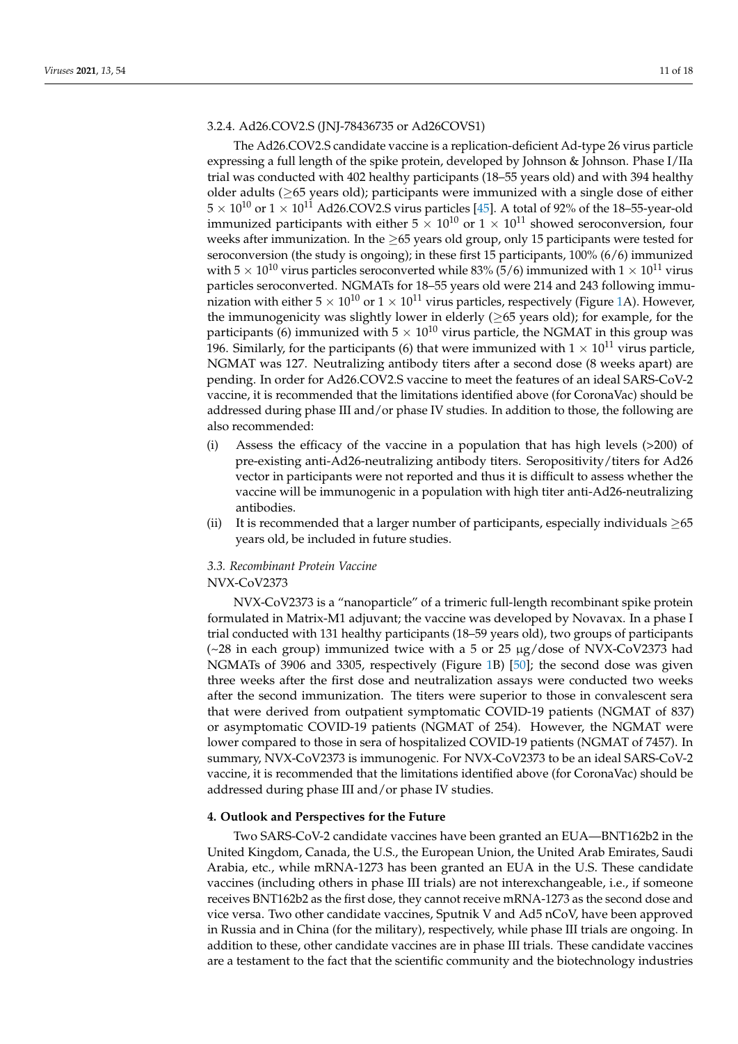# 3.2.4. Ad26.COV2.S (JNJ-78436735 or Ad26COVS1)

The Ad26.COV2.S candidate vaccine is a replication-deficient Ad-type 26 virus particle expressing a full length of the spike protein, developed by Johnson & Johnson. Phase I/IIa trial was conducted with 402 healthy participants (18–55 years old) and with 394 healthy older adults (≥65 years old); participants were immunized with a single dose of either  $5 \times 10^{10}$  or  $1 \times 10^{11}$  Ad26.COV2.S virus particles [\[45\]](#page-16-14). A total of 92% of the 18–55-year-old immunized participants with either  $5 \times 10^{10}$  or  $1 \times 10^{11}$  showed seroconversion, four weeks after immunization. In the  $\geq$ 65 years old group, only 15 participants were tested for seroconversion (the study is ongoing); in these first 15 participants, 100% (6/6) immunized with  $5 \times 10^{10}$  virus particles seroconverted while 83% (5/6) immunized with  $1 \times 10^{11}$  virus particles seroconverted. NGMATs for 18–55 years old were 214 and 243 following immunization with either  $5 \times 10^{10}$  or  $1 \times 10^{11}$  virus particles, respectively (Figure [1A](#page-6-0)). However, the immunogenicity was slightly lower in elderly  $(≥65$  years old); for example, for the participants (6) immunized with  $5 \times 10^{10}$  virus particle, the NGMAT in this group was 196. Similarly, for the participants (6) that were immunized with  $1 \times 10^{11}$  virus particle, NGMAT was 127. Neutralizing antibody titers after a second dose (8 weeks apart) are pending. In order for Ad26.COV2.S vaccine to meet the features of an ideal SARS-CoV-2 vaccine, it is recommended that the limitations identified above (for CoronaVac) should be addressed during phase III and/or phase IV studies. In addition to those, the following are also recommended:

- (i) Assess the efficacy of the vaccine in a population that has high levels (>200) of pre-existing anti-Ad26-neutralizing antibody titers. Seropositivity/titers for Ad26 vector in participants were not reported and thus it is difficult to assess whether the vaccine will be immunogenic in a population with high titer anti-Ad26-neutralizing antibodies.
- (ii) It is recommended that a larger number of participants, especially individuals  $\geq 65$ years old, be included in future studies.

## *3.3. Recombinant Protein Vaccine*

#### NVX-CoV2373

NVX-CoV2373 is a "nanoparticle" of a trimeric full-length recombinant spike protein formulated in Matrix-M1 adjuvant; the vaccine was developed by Novavax. In a phase I trial conducted with 131 healthy participants (18–59 years old), two groups of participants  $\left(\sim 28 \text{ in each group}\right)$  immunized twice with a 5 or 25  $\mu$ g/dose of NVX-CoV2373 had NGMATs of 3906 and 3305, respectively (Figure [1B](#page-6-0)) [\[50\]](#page-16-19); the second dose was given three weeks after the first dose and neutralization assays were conducted two weeks after the second immunization. The titers were superior to those in convalescent sera that were derived from outpatient symptomatic COVID-19 patients (NGMAT of 837) or asymptomatic COVID-19 patients (NGMAT of 254). However, the NGMAT were lower compared to those in sera of hospitalized COVID-19 patients (NGMAT of 7457). In summary, NVX-CoV2373 is immunogenic. For NVX-CoV2373 to be an ideal SARS-CoV-2 vaccine, it is recommended that the limitations identified above (for CoronaVac) should be addressed during phase III and/or phase IV studies.

#### **4. Outlook and Perspectives for the Future**

Two SARS-CoV-2 candidate vaccines have been granted an EUA—BNT162b2 in the United Kingdom, Canada, the U.S., the European Union, the United Arab Emirates, Saudi Arabia, etc., while mRNA-1273 has been granted an EUA in the U.S. These candidate vaccines (including others in phase III trials) are not interexchangeable, i.e., if someone receives BNT162b2 as the first dose, they cannot receive mRNA-1273 as the second dose and vice versa. Two other candidate vaccines, Sputnik V and Ad5 nCoV, have been approved in Russia and in China (for the military), respectively, while phase III trials are ongoing. In addition to these, other candidate vaccines are in phase III trials. These candidate vaccines are a testament to the fact that the scientific community and the biotechnology industries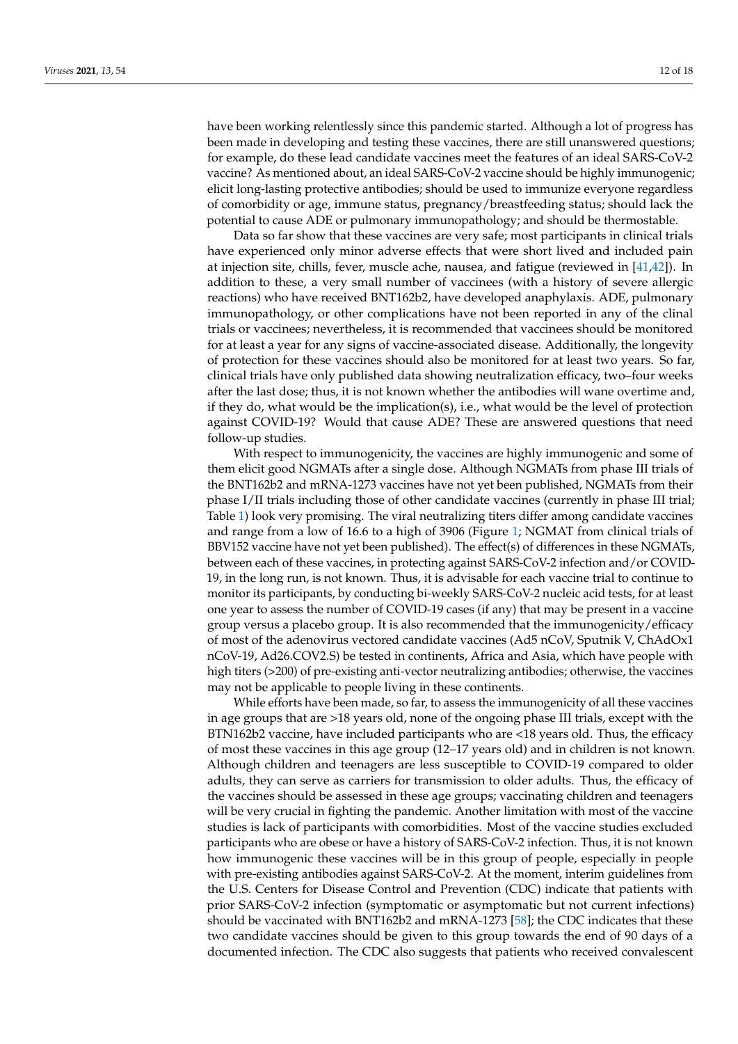have been working relentlessly since this pandemic started. Although a lot of progress has been made in developing and testing these vaccines, there are still unanswered questions; for example, do these lead candidate vaccines meet the features of an ideal SARS-CoV-2 vaccine? As mentioned about, an ideal SARS-CoV-2 vaccine should be highly immunogenic; elicit long-lasting protective antibodies; should be used to immunize everyone regardless of comorbidity or age, immune status, pregnancy/breastfeeding status; should lack the potential to cause ADE or pulmonary immunopathology; and should be thermostable.

Data so far show that these vaccines are very safe; most participants in clinical trials have experienced only minor adverse effects that were short lived and included pain at injection site, chills, fever, muscle ache, nausea, and fatigue (reviewed in [\[41,](#page-16-10)[42\]](#page-16-11)). In addition to these, a very small number of vaccinees (with a history of severe allergic reactions) who have received BNT162b2, have developed anaphylaxis. ADE, pulmonary immunopathology, or other complications have not been reported in any of the clinal trials or vaccinees; nevertheless, it is recommended that vaccinees should be monitored for at least a year for any signs of vaccine-associated disease. Additionally, the longevity of protection for these vaccines should also be monitored for at least two years. So far, clinical trials have only published data showing neutralization efficacy, two–four weeks after the last dose; thus, it is not known whether the antibodies will wane overtime and, if they do, what would be the implication(s), i.e., what would be the level of protection against COVID-19? Would that cause ADE? These are answered questions that need follow-up studies.

With respect to immunogenicity, the vaccines are highly immunogenic and some of them elicit good NGMATs after a single dose. Although NGMATs from phase III trials of the BNT162b2 and mRNA-1273 vaccines have not yet been published, NGMATs from their phase I/II trials including those of other candidate vaccines (currently in phase III trial; Table [1\)](#page-3-0) look very promising. The viral neutralizing titers differ among candidate vaccines and range from a low of 16.6 to a high of 3906 (Figure [1;](#page-6-0) NGMAT from clinical trials of BBV152 vaccine have not yet been published). The effect(s) of differences in these NGMATs, between each of these vaccines, in protecting against SARS-CoV-2 infection and/or COVID-19, in the long run, is not known. Thus, it is advisable for each vaccine trial to continue to monitor its participants, by conducting bi-weekly SARS-CoV-2 nucleic acid tests, for at least one year to assess the number of COVID-19 cases (if any) that may be present in a vaccine group versus a placebo group. It is also recommended that the immunogenicity/efficacy of most of the adenovirus vectored candidate vaccines (Ad5 nCoV, Sputnik V, ChAdOx1 nCoV-19, Ad26.COV2.S) be tested in continents, Africa and Asia, which have people with high titers (>200) of pre-existing anti-vector neutralizing antibodies; otherwise, the vaccines may not be applicable to people living in these continents.

While efforts have been made, so far, to assess the immunogenicity of all these vaccines in age groups that are >18 years old, none of the ongoing phase III trials, except with the BTN162b2 vaccine, have included participants who are <18 years old. Thus, the efficacy of most these vaccines in this age group (12–17 years old) and in children is not known. Although children and teenagers are less susceptible to COVID-19 compared to older adults, they can serve as carriers for transmission to older adults. Thus, the efficacy of the vaccines should be assessed in these age groups; vaccinating children and teenagers will be very crucial in fighting the pandemic. Another limitation with most of the vaccine studies is lack of participants with comorbidities. Most of the vaccine studies excluded participants who are obese or have a history of SARS-CoV-2 infection. Thus, it is not known how immunogenic these vaccines will be in this group of people, especially in people with pre-existing antibodies against SARS-CoV-2. At the moment, interim guidelines from the U.S. Centers for Disease Control and Prevention (CDC) indicate that patients with prior SARS-CoV-2 infection (symptomatic or asymptomatic but not current infections) should be vaccinated with BNT162b2 and mRNA-1273 [\[58\]](#page-17-5); the CDC indicates that these two candidate vaccines should be given to this group towards the end of 90 days of a documented infection. The CDC also suggests that patients who received convalescent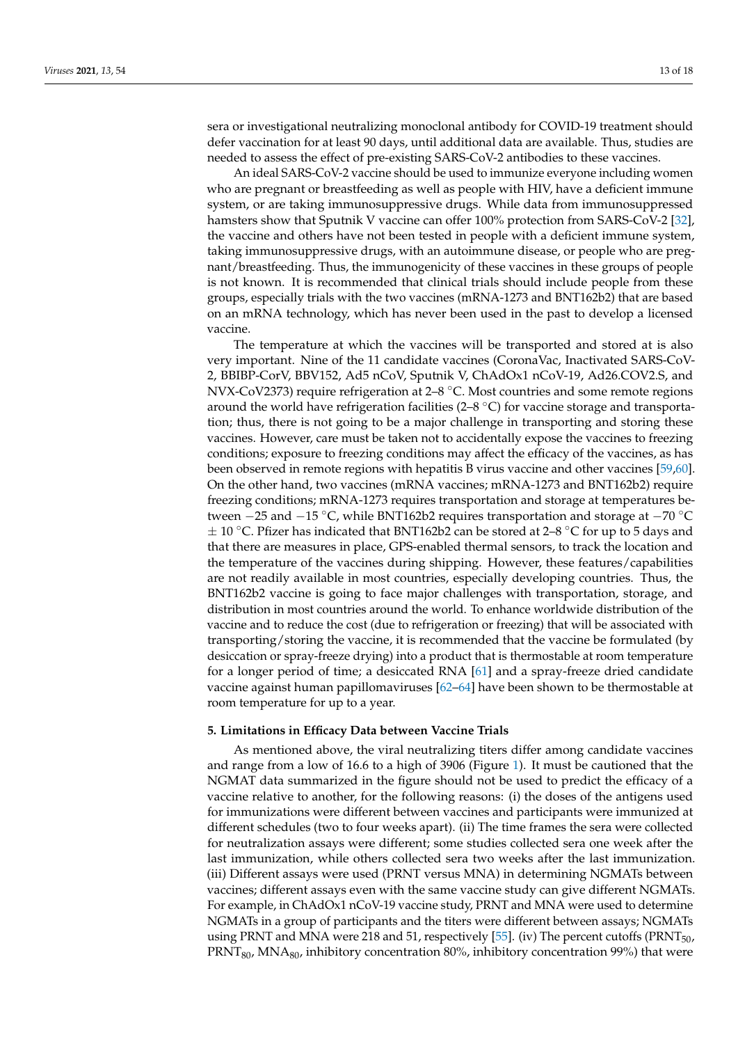sera or investigational neutralizing monoclonal antibody for COVID-19 treatment should defer vaccination for at least 90 days, until additional data are available. Thus, studies are needed to assess the effect of pre-existing SARS-CoV-2 antibodies to these vaccines.

An ideal SARS-CoV-2 vaccine should be used to immunize everyone including women who are pregnant or breastfeeding as well as people with HIV, have a deficient immune system, or are taking immunosuppressive drugs. While data from immunosuppressed hamsters show that Sputnik V vaccine can offer 100% protection from SARS-CoV-2 [\[32\]](#page-16-1), the vaccine and others have not been tested in people with a deficient immune system, taking immunosuppressive drugs, with an autoimmune disease, or people who are pregnant/breastfeeding. Thus, the immunogenicity of these vaccines in these groups of people is not known. It is recommended that clinical trials should include people from these groups, especially trials with the two vaccines (mRNA-1273 and BNT162b2) that are based on an mRNA technology, which has never been used in the past to develop a licensed vaccine.

The temperature at which the vaccines will be transported and stored at is also very important. Nine of the 11 candidate vaccines (CoronaVac, Inactivated SARS-CoV-2, BBIBP-CorV, BBV152, Ad5 nCoV, Sputnik V, ChAdOx1 nCoV-19, Ad26.COV2.S, and NVX-CoV2373) require refrigeration at  $2-8$  °C. Most countries and some remote regions around the world have refrigeration facilities ( $2-8$  °C) for vaccine storage and transportation; thus, there is not going to be a major challenge in transporting and storing these vaccines. However, care must be taken not to accidentally expose the vaccines to freezing conditions; exposure to freezing conditions may affect the efficacy of the vaccines, as has been observed in remote regions with hepatitis B virus vaccine and other vaccines [\[59](#page-17-6)[,60\]](#page-17-7). On the other hand, two vaccines (mRNA vaccines; mRNA-1273 and BNT162b2) require freezing conditions; mRNA-1273 requires transportation and storage at temperatures between −25 and −15 ◦C, while BNT162b2 requires transportation and storage at −70 ◦C  $\pm$  10 °C. Pfizer has indicated that BNT162b2 can be stored at 2–8 °C for up to 5 days and that there are measures in place, GPS-enabled thermal sensors, to track the location and the temperature of the vaccines during shipping. However, these features/capabilities are not readily available in most countries, especially developing countries. Thus, the BNT162b2 vaccine is going to face major challenges with transportation, storage, and distribution in most countries around the world. To enhance worldwide distribution of the vaccine and to reduce the cost (due to refrigeration or freezing) that will be associated with transporting/storing the vaccine, it is recommended that the vaccine be formulated (by desiccation or spray-freeze drying) into a product that is thermostable at room temperature for a longer period of time; a desiccated RNA [\[61\]](#page-17-8) and a spray-freeze dried candidate vaccine against human papillomaviruses [\[62](#page-17-9)[–64\]](#page-17-10) have been shown to be thermostable at room temperature for up to a year.

#### **5. Limitations in Efficacy Data between Vaccine Trials**

As mentioned above, the viral neutralizing titers differ among candidate vaccines and range from a low of 16.6 to a high of 3906 (Figure [1\)](#page-6-0). It must be cautioned that the NGMAT data summarized in the figure should not be used to predict the efficacy of a vaccine relative to another, for the following reasons: (i) the doses of the antigens used for immunizations were different between vaccines and participants were immunized at different schedules (two to four weeks apart). (ii) The time frames the sera were collected for neutralization assays were different; some studies collected sera one week after the last immunization, while others collected sera two weeks after the last immunization. (iii) Different assays were used (PRNT versus MNA) in determining NGMATs between vaccines; different assays even with the same vaccine study can give different NGMATs. For example, in ChAdOx1 nCoV-19 vaccine study, PRNT and MNA were used to determine NGMATs in a group of participants and the titers were different between assays; NGMATs using PRNT and MNA were 218 and 51, respectively [\[55\]](#page-17-2). (iv) The percent cutoffs (PRNT50,  $\text{PRNT}_{80}$ , MNA $_{80}$ , inhibitory concentration 80%, inhibitory concentration 99%) that were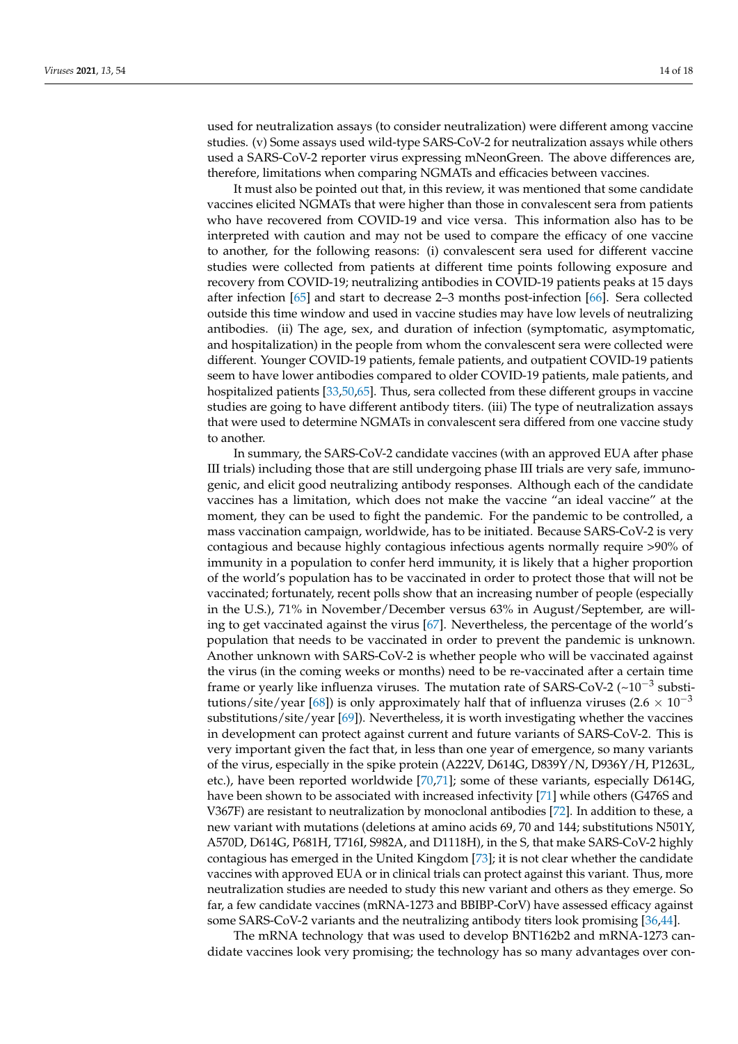used for neutralization assays (to consider neutralization) were different among vaccine studies. (v) Some assays used wild-type SARS-CoV-2 for neutralization assays while others used a SARS-CoV-2 reporter virus expressing mNeonGreen. The above differences are, therefore, limitations when comparing NGMATs and efficacies between vaccines.

It must also be pointed out that, in this review, it was mentioned that some candidate vaccines elicited NGMATs that were higher than those in convalescent sera from patients who have recovered from COVID-19 and vice versa. This information also has to be interpreted with caution and may not be used to compare the efficacy of one vaccine to another, for the following reasons: (i) convalescent sera used for different vaccine studies were collected from patients at different time points following exposure and recovery from COVID-19; neutralizing antibodies in COVID-19 patients peaks at 15 days after infection [\[65\]](#page-17-11) and start to decrease 2–3 months post-infection [\[66\]](#page-17-12). Sera collected outside this time window and used in vaccine studies may have low levels of neutralizing antibodies. (ii) The age, sex, and duration of infection (symptomatic, asymptomatic, and hospitalization) in the people from whom the convalescent sera were collected were different. Younger COVID-19 patients, female patients, and outpatient COVID-19 patients seem to have lower antibodies compared to older COVID-19 patients, male patients, and hospitalized patients [\[33](#page-16-2)[,50](#page-16-19)[,65\]](#page-17-11). Thus, sera collected from these different groups in vaccine studies are going to have different antibody titers. (iii) The type of neutralization assays that were used to determine NGMATs in convalescent sera differed from one vaccine study to another.

In summary, the SARS-CoV-2 candidate vaccines (with an approved EUA after phase III trials) including those that are still undergoing phase III trials are very safe, immunogenic, and elicit good neutralizing antibody responses. Although each of the candidate vaccines has a limitation, which does not make the vaccine "an ideal vaccine" at the moment, they can be used to fight the pandemic. For the pandemic to be controlled, a mass vaccination campaign, worldwide, has to be initiated. Because SARS-CoV-2 is very contagious and because highly contagious infectious agents normally require >90% of immunity in a population to confer herd immunity, it is likely that a higher proportion of the world's population has to be vaccinated in order to protect those that will not be vaccinated; fortunately, recent polls show that an increasing number of people (especially in the U.S.), 71% in November/December versus 63% in August/September, are willing to get vaccinated against the virus [\[67\]](#page-17-13). Nevertheless, the percentage of the world's population that needs to be vaccinated in order to prevent the pandemic is unknown. Another unknown with SARS-CoV-2 is whether people who will be vaccinated against the virus (in the coming weeks or months) need to be re-vaccinated after a certain time frame or yearly like influenza viruses. The mutation rate of SARS-CoV-2 (~10<sup>-3</sup> substi-tutions/site/year [\[68\]](#page-17-14)) is only approximately half that of influenza viruses (2.6  $\times$  10<sup>-3</sup> substitutions/site/year [\[69\]](#page-17-15)). Nevertheless, it is worth investigating whether the vaccines in development can protect against current and future variants of SARS-CoV-2. This is very important given the fact that, in less than one year of emergence, so many variants of the virus, especially in the spike protein (A222V, D614G, D839Y/N, D936Y/H, P1263L, etc.), have been reported worldwide [\[70,](#page-17-16)[71\]](#page-17-17); some of these variants, especially D614G, have been shown to be associated with increased infectivity [\[71\]](#page-17-17) while others (G476S and V367F) are resistant to neutralization by monoclonal antibodies [\[72\]](#page-17-18). In addition to these, a new variant with mutations (deletions at amino acids 69, 70 and 144; substitutions N501Y, A570D, D614G, P681H, T716I, S982A, and D1118H), in the S, that make SARS-CoV-2 highly contagious has emerged in the United Kingdom [\[73\]](#page-17-19); it is not clear whether the candidate vaccines with approved EUA or in clinical trials can protect against this variant. Thus, more neutralization studies are needed to study this new variant and others as they emerge. So far, a few candidate vaccines (mRNA-1273 and BBIBP-CorV) have assessed efficacy against some SARS-CoV-2 variants and the neutralizing antibody titers look promising [\[36,](#page-16-5)[44\]](#page-16-13).

The mRNA technology that was used to develop BNT162b2 and mRNA-1273 candidate vaccines look very promising; the technology has so many advantages over con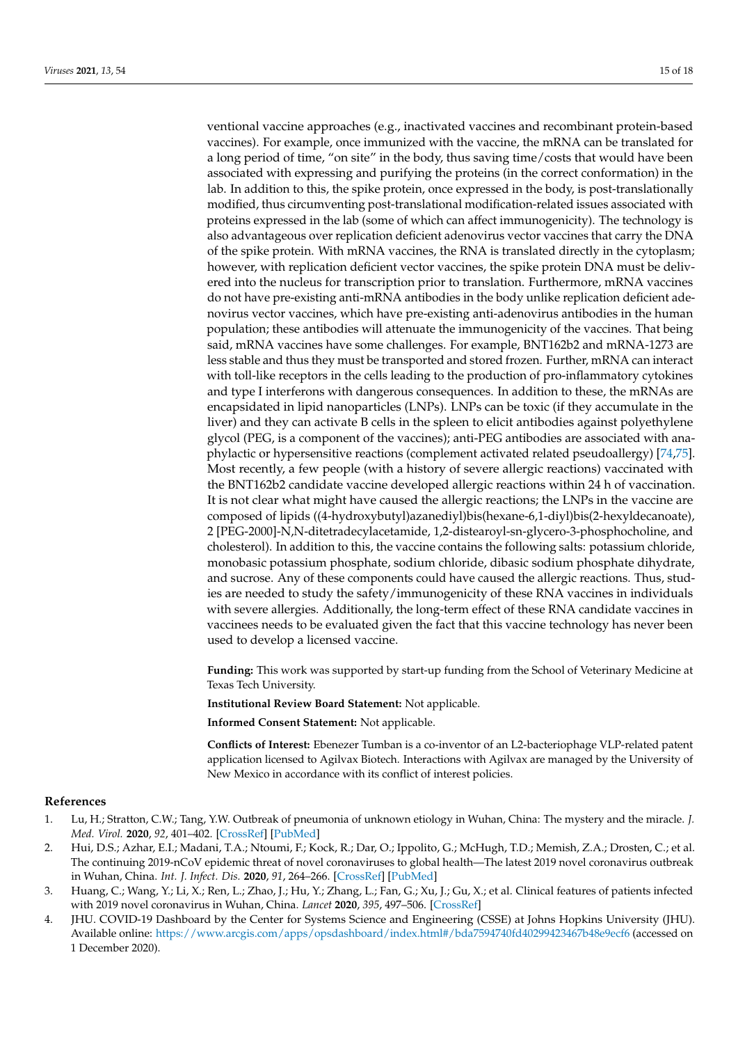ventional vaccine approaches (e.g., inactivated vaccines and recombinant protein-based vaccines). For example, once immunized with the vaccine, the mRNA can be translated for a long period of time, "on site" in the body, thus saving time/costs that would have been associated with expressing and purifying the proteins (in the correct conformation) in the lab. In addition to this, the spike protein, once expressed in the body, is post-translationally modified, thus circumventing post-translational modification-related issues associated with proteins expressed in the lab (some of which can affect immunogenicity). The technology is also advantageous over replication deficient adenovirus vector vaccines that carry the DNA of the spike protein. With mRNA vaccines, the RNA is translated directly in the cytoplasm; however, with replication deficient vector vaccines, the spike protein DNA must be delivered into the nucleus for transcription prior to translation. Furthermore, mRNA vaccines do not have pre-existing anti-mRNA antibodies in the body unlike replication deficient adenovirus vector vaccines, which have pre-existing anti-adenovirus antibodies in the human population; these antibodies will attenuate the immunogenicity of the vaccines. That being said, mRNA vaccines have some challenges. For example, BNT162b2 and mRNA-1273 are less stable and thus they must be transported and stored frozen. Further, mRNA can interact with toll-like receptors in the cells leading to the production of pro-inflammatory cytokines and type I interferons with dangerous consequences. In addition to these, the mRNAs are encapsidated in lipid nanoparticles (LNPs). LNPs can be toxic (if they accumulate in the liver) and they can activate B cells in the spleen to elicit antibodies against polyethylene glycol (PEG, is a component of the vaccines); anti-PEG antibodies are associated with anaphylactic or hypersensitive reactions (complement activated related pseudoallergy) [\[74](#page-17-20)[,75\]](#page-17-21). Most recently, a few people (with a history of severe allergic reactions) vaccinated with the BNT162b2 candidate vaccine developed allergic reactions within 24 h of vaccination. It is not clear what might have caused the allergic reactions; the LNPs in the vaccine are composed of lipids ((4-hydroxybutyl)azanediyl)bis(hexane-6,1-diyl)bis(2-hexyldecanoate), 2 [PEG-2000]-N,N-ditetradecylacetamide, 1,2-distearoyl-sn-glycero-3-phosphocholine, and cholesterol). In addition to this, the vaccine contains the following salts: potassium chloride, monobasic potassium phosphate, sodium chloride, dibasic sodium phosphate dihydrate, and sucrose. Any of these components could have caused the allergic reactions. Thus, studies are needed to study the safety/immunogenicity of these RNA vaccines in individuals with severe allergies. Additionally, the long-term effect of these RNA candidate vaccines in vaccinees needs to be evaluated given the fact that this vaccine technology has never been used to develop a licensed vaccine.

**Funding:** This work was supported by start-up funding from the School of Veterinary Medicine at Texas Tech University.

**Institutional Review Board Statement:** Not applicable.

**Informed Consent Statement:** Not applicable.

**Conflicts of Interest:** Ebenezer Tumban is a co-inventor of an L2-bacteriophage VLP-related patent application licensed to Agilvax Biotech. Interactions with Agilvax are managed by the University of New Mexico in accordance with its conflict of interest policies.

#### **References**

- <span id="page-14-0"></span>1. Lu, H.; Stratton, C.W.; Tang, Y.W. Outbreak of pneumonia of unknown etiology in Wuhan, China: The mystery and the miracle. *J. Med. Virol.* **2020**, *92*, 401–402. [\[CrossRef\]](http://doi.org/10.1002/jmv.25678) [\[PubMed\]](http://www.ncbi.nlm.nih.gov/pubmed/31950516)
- 2. Hui, D.S.; Azhar, E.I.; Madani, T.A.; Ntoumi, F.; Kock, R.; Dar, O.; Ippolito, G.; McHugh, T.D.; Memish, Z.A.; Drosten, C.; et al. The continuing 2019-nCoV epidemic threat of novel coronaviruses to global health—The latest 2019 novel coronavirus outbreak in Wuhan, China. *Int. J. Infect. Dis.* **2020**, *91*, 264–266. [\[CrossRef\]](http://doi.org/10.1016/j.ijid.2020.01.009) [\[PubMed\]](http://www.ncbi.nlm.nih.gov/pubmed/31953166)
- <span id="page-14-1"></span>3. Huang, C.; Wang, Y.; Li, X.; Ren, L.; Zhao, J.; Hu, Y.; Zhang, L.; Fan, G.; Xu, J.; Gu, X.; et al. Clinical features of patients infected with 2019 novel coronavirus in Wuhan, China. *Lancet* **2020**, *395*, 497–506. [\[CrossRef\]](http://doi.org/10.1016/S0140-6736(20)30183-5)
- <span id="page-14-2"></span>4. JHU. COVID-19 Dashboard by the Center for Systems Science and Engineering (CSSE) at Johns Hopkins University (JHU). Available online: <https://www.arcgis.com/apps/opsdashboard/index.html#/bda7594740fd40299423467b48e9ecf6> (accessed on 1 December 2020).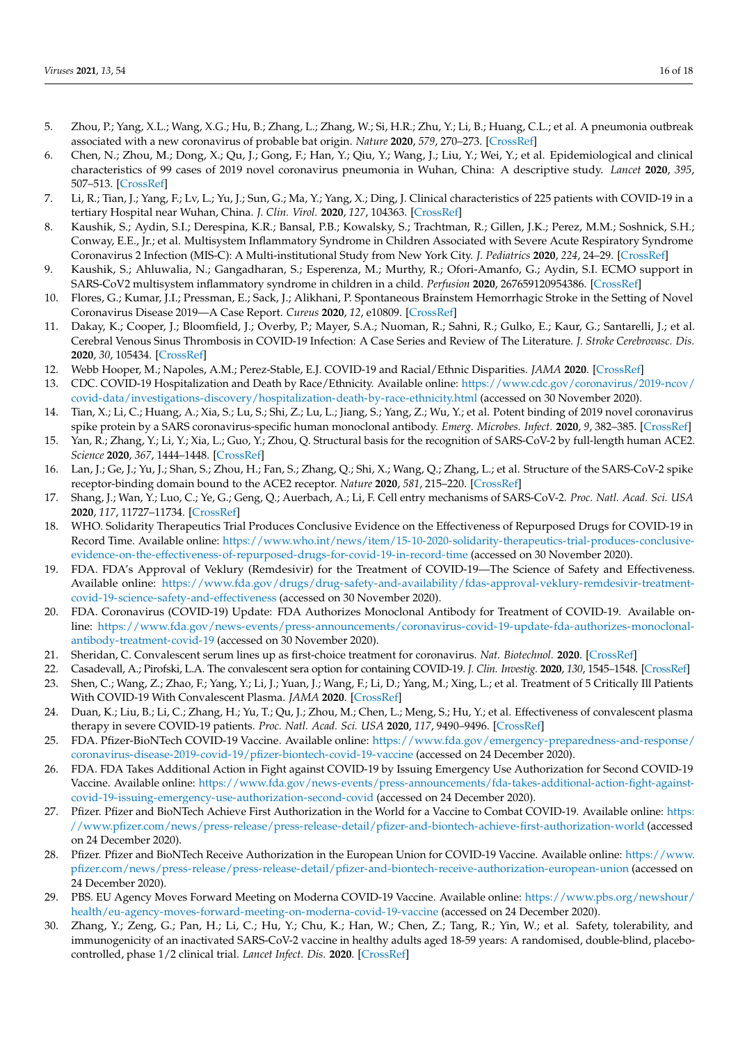- <span id="page-15-0"></span>5. Zhou, P.; Yang, X.L.; Wang, X.G.; Hu, B.; Zhang, L.; Zhang, W.; Si, H.R.; Zhu, Y.; Li, B.; Huang, C.L.; et al. A pneumonia outbreak associated with a new coronavirus of probable bat origin. *Nature* **2020**, *579*, 270–273. [\[CrossRef\]](http://doi.org/10.1038/s41586-020-2012-7)
- <span id="page-15-1"></span>6. Chen, N.; Zhou, M.; Dong, X.; Qu, J.; Gong, F.; Han, Y.; Qiu, Y.; Wang, J.; Liu, Y.; Wei, Y.; et al. Epidemiological and clinical characteristics of 99 cases of 2019 novel coronavirus pneumonia in Wuhan, China: A descriptive study. *Lancet* **2020**, *395*, 507–513. [\[CrossRef\]](http://doi.org/10.1016/S0140-6736(20)30211-7)
- <span id="page-15-2"></span>7. Li, R.; Tian, J.; Yang, F.; Lv, L.; Yu, J.; Sun, G.; Ma, Y.; Yang, X.; Ding, J. Clinical characteristics of 225 patients with COVID-19 in a tertiary Hospital near Wuhan, China. *J. Clin. Virol.* **2020**, *127*, 104363. [\[CrossRef\]](http://doi.org/10.1016/j.jcv.2020.104363)
- <span id="page-15-3"></span>8. Kaushik, S.; Aydin, S.I.; Derespina, K.R.; Bansal, P.B.; Kowalsky, S.; Trachtman, R.; Gillen, J.K.; Perez, M.M.; Soshnick, S.H.; Conway, E.E., Jr.; et al. Multisystem Inflammatory Syndrome in Children Associated with Severe Acute Respiratory Syndrome Coronavirus 2 Infection (MIS-C): A Multi-institutional Study from New York City. *J. Pediatrics* **2020**, *224*, 24–29. [\[CrossRef\]](http://doi.org/10.1016/j.jpeds.2020.06.045)
- 9. Kaushik, S.; Ahluwalia, N.; Gangadharan, S.; Esperenza, M.; Murthy, R.; Ofori-Amanfo, G.; Aydin, S.I. ECMO support in SARS-CoV2 multisystem inflammatory syndrome in children in a child. *Perfusion* **2020**, 267659120954386. [\[CrossRef\]](http://doi.org/10.1177/0267659120954386)
- 10. Flores, G.; Kumar, J.I.; Pressman, E.; Sack, J.; Alikhani, P. Spontaneous Brainstem Hemorrhagic Stroke in the Setting of Novel Coronavirus Disease 2019—A Case Report. *Cureus* **2020**, *12*, e10809. [\[CrossRef\]](http://doi.org/10.7759/cureus.10809)
- <span id="page-15-4"></span>11. Dakay, K.; Cooper, J.; Bloomfield, J.; Overby, P.; Mayer, S.A.; Nuoman, R.; Sahni, R.; Gulko, E.; Kaur, G.; Santarelli, J.; et al. Cerebral Venous Sinus Thrombosis in COVID-19 Infection: A Case Series and Review of The Literature. *J. Stroke Cerebrovasc. Dis.* **2020**, *30*, 105434. [\[CrossRef\]](http://doi.org/10.1016/j.jstrokecerebrovasdis.2020.105434)
- <span id="page-15-5"></span>12. Webb Hooper, M.; Napoles, A.M.; Perez-Stable, E.J. COVID-19 and Racial/Ethnic Disparities. *JAMA* **2020**. [\[CrossRef\]](http://doi.org/10.1001/jama.2020.8598)
- <span id="page-15-6"></span>13. CDC. COVID-19 Hospitalization and Death by Race/Ethnicity. Available online: [https://www.cdc.gov/coronavirus/2019-ncov/](https://www.cdc.gov/coronavirus/2019-ncov/covid-data/investigations-discovery/hospitalization-death-by-race-ethnicity.html) [covid-data/investigations-discovery/hospitalization-death-by-race-ethnicity.html](https://www.cdc.gov/coronavirus/2019-ncov/covid-data/investigations-discovery/hospitalization-death-by-race-ethnicity.html) (accessed on 30 November 2020).
- <span id="page-15-7"></span>14. Tian, X.; Li, C.; Huang, A.; Xia, S.; Lu, S.; Shi, Z.; Lu, L.; Jiang, S.; Yang, Z.; Wu, Y.; et al. Potent binding of 2019 novel coronavirus spike protein by a SARS coronavirus-specific human monoclonal antibody. *Emerg. Microbes. Infect.* **2020**, *9*, 382–385. [\[CrossRef\]](http://doi.org/10.1080/22221751.2020.1729069)
- 15. Yan, R.; Zhang, Y.; Li, Y.; Xia, L.; Guo, Y.; Zhou, Q. Structural basis for the recognition of SARS-CoV-2 by full-length human ACE2. *Science* **2020**, *367*, 1444–1448. [\[CrossRef\]](http://doi.org/10.1126/science.abb2762)
- <span id="page-15-8"></span>16. Lan, J.; Ge, J.; Yu, J.; Shan, S.; Zhou, H.; Fan, S.; Zhang, Q.; Shi, X.; Wang, Q.; Zhang, L.; et al. Structure of the SARS-CoV-2 spike receptor-binding domain bound to the ACE2 receptor. *Nature* **2020**, *581*, 215–220. [\[CrossRef\]](http://doi.org/10.1038/s41586-020-2180-5)
- <span id="page-15-9"></span>17. Shang, J.; Wan, Y.; Luo, C.; Ye, G.; Geng, Q.; Auerbach, A.; Li, F. Cell entry mechanisms of SARS-CoV-2. *Proc. Natl. Acad. Sci. USA* **2020**, *117*, 11727–11734. [\[CrossRef\]](http://doi.org/10.1073/pnas.2003138117)
- <span id="page-15-10"></span>18. WHO. Solidarity Therapeutics Trial Produces Conclusive Evidence on the Effectiveness of Repurposed Drugs for COVID-19 in Record Time. Available online: [https://www.who.int/news/item/15-10-2020-solidarity-therapeutics-trial-produces-conclusive](https://www.who.int/news/item/15-10-2020-solidarity-therapeutics-trial-produces-conclusive-evidence-on-the-effectiveness-of-repurposed-drugs-for-covid-19-in-record-time)[evidence-on-the-effectiveness-of-repurposed-drugs-for-covid-19-in-record-time](https://www.who.int/news/item/15-10-2020-solidarity-therapeutics-trial-produces-conclusive-evidence-on-the-effectiveness-of-repurposed-drugs-for-covid-19-in-record-time) (accessed on 30 November 2020).
- <span id="page-15-11"></span>19. FDA. FDA's Approval of Veklury (Remdesivir) for the Treatment of COVID-19—The Science of Safety and Effectiveness. Available online: [https://www.fda.gov/drugs/drug-safety-and-availability/fdas-approval-veklury-remdesivir-treatment](https://www.fda.gov/drugs/drug-safety-and-availability/fdas-approval-veklury-remdesivir-treatment-covid-19-science-safety-and-effectiveness)[covid-19-science-safety-and-effectiveness](https://www.fda.gov/drugs/drug-safety-and-availability/fdas-approval-veklury-remdesivir-treatment-covid-19-science-safety-and-effectiveness) (accessed on 30 November 2020).
- <span id="page-15-12"></span>20. FDA. Coronavirus (COVID-19) Update: FDA Authorizes Monoclonal Antibody for Treatment of COVID-19. Available online: [https://www.fda.gov/news-events/press-announcements/coronavirus-covid-19-update-fda-authorizes-monoclonal](https://www.fda.gov/news-events/press-announcements/coronavirus-covid-19-update-fda-authorizes-monoclonal-antibody-treatment-covid-19)[antibody-treatment-covid-19](https://www.fda.gov/news-events/press-announcements/coronavirus-covid-19-update-fda-authorizes-monoclonal-antibody-treatment-covid-19) (accessed on 30 November 2020).
- <span id="page-15-13"></span>21. Sheridan, C. Convalescent serum lines up as first-choice treatment for coronavirus. *Nat. Biotechnol.* **2020**. [\[CrossRef\]](http://doi.org/10.1038/d41587-020-00011-1)
- 22. Casadevall, A.; Pirofski, L.A. The convalescent sera option for containing COVID-19. *J. Clin. Investig.* **2020**, *130*, 1545–1548. [\[CrossRef\]](http://doi.org/10.1172/JCI138003)
- 23. Shen, C.; Wang, Z.; Zhao, F.; Yang, Y.; Li, J.; Yuan, J.; Wang, F.; Li, D.; Yang, M.; Xing, L.; et al. Treatment of 5 Critically Ill Patients With COVID-19 With Convalescent Plasma. *JAMA* **2020**. [\[CrossRef\]](http://doi.org/10.1001/jama.2020.4783)
- <span id="page-15-14"></span>24. Duan, K.; Liu, B.; Li, C.; Zhang, H.; Yu, T.; Qu, J.; Zhou, M.; Chen, L.; Meng, S.; Hu, Y.; et al. Effectiveness of convalescent plasma therapy in severe COVID-19 patients. *Proc. Natl. Acad. Sci. USA* **2020**, *117*, 9490–9496. [\[CrossRef\]](http://doi.org/10.1073/pnas.2004168117)
- <span id="page-15-15"></span>25. FDA. Pfizer-BioNTech COVID-19 Vaccine. Available online: [https://www.fda.gov/emergency-preparedness-and-response/](https://www.fda.gov/emergency-preparedness-and-response/coronavirus-disease-2019-covid-19/pfizer-biontech-covid-19-vaccine) [coronavirus-disease-2019-covid-19/pfizer-biontech-covid-19-vaccine](https://www.fda.gov/emergency-preparedness-and-response/coronavirus-disease-2019-covid-19/pfizer-biontech-covid-19-vaccine) (accessed on 24 December 2020).
- <span id="page-15-16"></span>26. FDA. FDA Takes Additional Action in Fight against COVID-19 by Issuing Emergency Use Authorization for Second COVID-19 Vaccine. Available online: [https://www.fda.gov/news-events/press-announcements/fda-takes-additional-action-fight-against](https://www.fda.gov/news-events/press-announcements/fda-takes-additional-action-fight-against-covid-19-issuing-emergency-use-authorization-second-covid)[covid-19-issuing-emergency-use-authorization-second-covid](https://www.fda.gov/news-events/press-announcements/fda-takes-additional-action-fight-against-covid-19-issuing-emergency-use-authorization-second-covid) (accessed on 24 December 2020).
- <span id="page-15-17"></span>27. Pfizer. Pfizer and BioNTech Achieve First Authorization in the World for a Vaccine to Combat COVID-19. Available online: [https:](https://www.pfizer.com/news/press-release/press-release-detail/pfizer-and-biontech-achieve-first-authorization-world) [//www.pfizer.com/news/press-release/press-release-detail/pfizer-and-biontech-achieve-first-authorization-world](https://www.pfizer.com/news/press-release/press-release-detail/pfizer-and-biontech-achieve-first-authorization-world) (accessed on 24 December 2020).
- <span id="page-15-18"></span>28. Pfizer. Pfizer and BioNTech Receive Authorization in the European Union for COVID-19 Vaccine. Available online: [https://www.](https://www.pfizer.com/news/press-release/press-release-detail/pfizer-and-biontech-receive-authorization-european-union) [pfizer.com/news/press-release/press-release-detail/pfizer-and-biontech-receive-authorization-european-union](https://www.pfizer.com/news/press-release/press-release-detail/pfizer-and-biontech-receive-authorization-european-union) (accessed on 24 December 2020).
- <span id="page-15-19"></span>29. PBS. EU Agency Moves Forward Meeting on Moderna COVID-19 Vaccine. Available online: [https://www.pbs.org/newshour/](https://www.pbs.org/newshour/health/eu-agency-moves-forward-meeting-on-moderna-covid-19-vaccine) [health/eu-agency-moves-forward-meeting-on-moderna-covid-19-vaccine](https://www.pbs.org/newshour/health/eu-agency-moves-forward-meeting-on-moderna-covid-19-vaccine) (accessed on 24 December 2020).
- <span id="page-15-20"></span>30. Zhang, Y.; Zeng, G.; Pan, H.; Li, C.; Hu, Y.; Chu, K.; Han, W.; Chen, Z.; Tang, R.; Yin, W.; et al. Safety, tolerability, and immunogenicity of an inactivated SARS-CoV-2 vaccine in healthy adults aged 18-59 years: A randomised, double-blind, placebocontrolled, phase 1/2 clinical trial. *Lancet Infect. Dis.* **2020**. [\[CrossRef\]](http://doi.org/10.1016/S1473-3099(20)30843-4)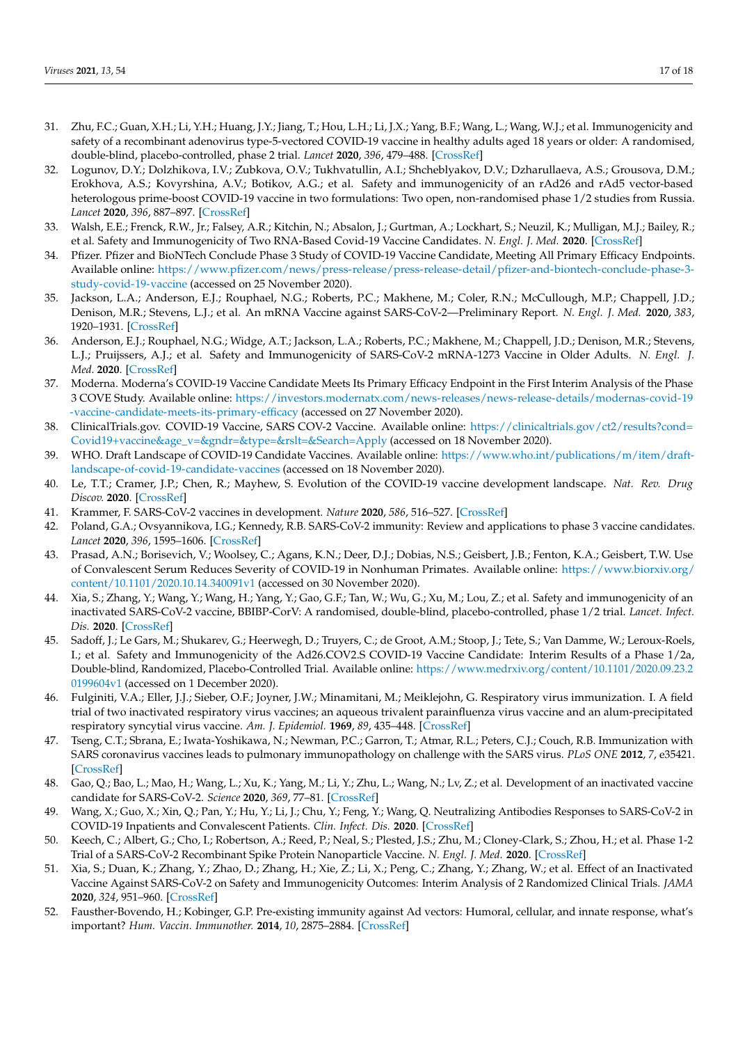- <span id="page-16-0"></span>31. Zhu, F.C.; Guan, X.H.; Li, Y.H.; Huang, J.Y.; Jiang, T.; Hou, L.H.; Li, J.X.; Yang, B.F.; Wang, L.; Wang, W.J.; et al. Immunogenicity and safety of a recombinant adenovirus type-5-vectored COVID-19 vaccine in healthy adults aged 18 years or older: A randomised, double-blind, placebo-controlled, phase 2 trial. *Lancet* **2020**, *396*, 479–488. [\[CrossRef\]](http://doi.org/10.1016/S0140-6736(20)31605-6)
- <span id="page-16-1"></span>32. Logunov, D.Y.; Dolzhikova, I.V.; Zubkova, O.V.; Tukhvatullin, A.I.; Shcheblyakov, D.V.; Dzharullaeva, A.S.; Grousova, D.M.; Erokhova, A.S.; Kovyrshina, A.V.; Botikov, A.G.; et al. Safety and immunogenicity of an rAd26 and rAd5 vector-based heterologous prime-boost COVID-19 vaccine in two formulations: Two open, non-randomised phase 1/2 studies from Russia. *Lancet* **2020**, *396*, 887–897. [\[CrossRef\]](http://doi.org/10.1016/S0140-6736(20)31866-3)
- <span id="page-16-2"></span>33. Walsh, E.E.; Frenck, R.W., Jr.; Falsey, A.R.; Kitchin, N.; Absalon, J.; Gurtman, A.; Lockhart, S.; Neuzil, K.; Mulligan, M.J.; Bailey, R.; et al. Safety and Immunogenicity of Two RNA-Based Covid-19 Vaccine Candidates. *N. Engl. J. Med.* **2020**. [\[CrossRef\]](http://doi.org/10.1056/NEJMoa2027906)
- <span id="page-16-3"></span>34. Pfizer. Pfizer and BioNTech Conclude Phase 3 Study of COVID-19 Vaccine Candidate, Meeting All Primary Efficacy Endpoints. Available online: [https://www.pfizer.com/news/press-release/press-release-detail/pfizer-and-biontech-conclude-phase-3](https://www.pfizer.com/news/press-release/press-release-detail/pfizer-and-biontech-conclude-phase-3-study-covid-19-vaccine) [study-covid-19-vaccine](https://www.pfizer.com/news/press-release/press-release-detail/pfizer-and-biontech-conclude-phase-3-study-covid-19-vaccine) (accessed on 25 November 2020).
- <span id="page-16-4"></span>Jackson, L.A.; Anderson, E.J.; Rouphael, N.G.; Roberts, P.C.; Makhene, M.; Coler, R.N.; McCullough, M.P.; Chappell, J.D.; Denison, M.R.; Stevens, L.J.; et al. An mRNA Vaccine against SARS-CoV-2—Preliminary Report. *N. Engl. J. Med.* **2020**, *383*, 1920–1931. [\[CrossRef\]](http://doi.org/10.1056/NEJMoa2022483)
- <span id="page-16-5"></span>36. Anderson, E.J.; Rouphael, N.G.; Widge, A.T.; Jackson, L.A.; Roberts, P.C.; Makhene, M.; Chappell, J.D.; Denison, M.R.; Stevens, L.J.; Pruijssers, A.J.; et al. Safety and Immunogenicity of SARS-CoV-2 mRNA-1273 Vaccine in Older Adults. *N. Engl. J. Med.* **2020**. [\[CrossRef\]](http://doi.org/10.1056/NEJMoa2028436)
- <span id="page-16-6"></span>37. Moderna. Moderna's COVID-19 Vaccine Candidate Meets Its Primary Efficacy Endpoint in the First Interim Analysis of the Phase 3 COVE Study. Available online: [https://investors.modernatx.com/news-releases/news-release-details/modernas-covid-19](https://investors.modernatx.com/news-releases/news-release-details/modernas-covid-19-vaccine-candidate-meets-its-primary-efficacy) [-vaccine-candidate-meets-its-primary-efficacy](https://investors.modernatx.com/news-releases/news-release-details/modernas-covid-19-vaccine-candidate-meets-its-primary-efficacy) (accessed on 27 November 2020).
- <span id="page-16-7"></span>38. ClinicalTrials.gov. COVID-19 Vaccine, SARS COV-2 Vaccine. Available online: [https://clinicaltrials.gov/ct2/results?cond=](https://clinicaltrials.gov/ct2/results?cond=Covid19+vaccine&age_v=&gndr=&type=&rslt=&Search=Apply) [Covid19+vaccine&age\\_v=&gndr=&type=&rslt=&Search=Apply](https://clinicaltrials.gov/ct2/results?cond=Covid19+vaccine&age_v=&gndr=&type=&rslt=&Search=Apply) (accessed on 18 November 2020).
- <span id="page-16-8"></span>39. WHO. Draft Landscape of COVID-19 Candidate Vaccines. Available online: [https://www.who.int/publications/m/item/draft](https://www.who.int/publications/m/item/draft-landscape-of-covid-19-candidate-vaccines)[landscape-of-covid-19-candidate-vaccines](https://www.who.int/publications/m/item/draft-landscape-of-covid-19-candidate-vaccines) (accessed on 18 November 2020).
- <span id="page-16-9"></span>40. Le, T.T.; Cramer, J.P.; Chen, R.; Mayhew, S. Evolution of the COVID-19 vaccine development landscape. *Nat. Rev. Drug Discov.* **2020**. [\[CrossRef\]](http://doi.org/10.1038/d41573-020-00151-8)
- <span id="page-16-10"></span>41. Krammer, F. SARS-CoV-2 vaccines in development. *Nature* **2020**, *586*, 516–527. [\[CrossRef\]](http://doi.org/10.1038/s41586-020-2798-3)
- <span id="page-16-11"></span>42. Poland, G.A.; Ovsyannikova, I.G.; Kennedy, R.B. SARS-CoV-2 immunity: Review and applications to phase 3 vaccine candidates. *Lancet* **2020**, *396*, 1595–1606. [\[CrossRef\]](http://doi.org/10.1016/S0140-6736(20)32137-1)
- <span id="page-16-12"></span>43. Prasad, A.N.; Borisevich, V.; Woolsey, C.; Agans, K.N.; Deer, D.J.; Dobias, N.S.; Geisbert, J.B.; Fenton, K.A.; Geisbert, T.W. Use of Convalescent Serum Reduces Severity of COVID-19 in Nonhuman Primates. Available online: [https://www.biorxiv.org/](https://www.biorxiv.org/content/10.1101/2020.10.14.340091v1) [content/10.1101/2020.10.14.340091v1](https://www.biorxiv.org/content/10.1101/2020.10.14.340091v1) (accessed on 30 November 2020).
- <span id="page-16-13"></span>44. Xia, S.; Zhang, Y.; Wang, Y.; Wang, H.; Yang, Y.; Gao, G.F.; Tan, W.; Wu, G.; Xu, M.; Lou, Z.; et al. Safety and immunogenicity of an inactivated SARS-CoV-2 vaccine, BBIBP-CorV: A randomised, double-blind, placebo-controlled, phase 1/2 trial. *Lancet. Infect. Dis.* **2020**. [\[CrossRef\]](http://doi.org/10.1016/S1473-3099(20)30831-8)
- <span id="page-16-14"></span>45. Sadoff, J.; Le Gars, M.; Shukarev, G.; Heerwegh, D.; Truyers, C.; de Groot, A.M.; Stoop, J.; Tete, S.; Van Damme, W.; Leroux-Roels, I.; et al. Safety and Immunogenicity of the Ad26.COV2.S COVID-19 Vaccine Candidate: Interim Results of a Phase 1/2a, Double-blind, Randomized, Placebo-Controlled Trial. Available online: [https://www.medrxiv.org/content/10.1101/2020.09.23.2](https://www.medrxiv.org/content/10.1101/2020.09.23.20199604v1) [0199604v1](https://www.medrxiv.org/content/10.1101/2020.09.23.20199604v1) (accessed on 1 December 2020).
- <span id="page-16-15"></span>46. Fulginiti, V.A.; Eller, J.J.; Sieber, O.F.; Joyner, J.W.; Minamitani, M.; Meiklejohn, G. Respiratory virus immunization. I. A field trial of two inactivated respiratory virus vaccines; an aqueous trivalent parainfluenza virus vaccine and an alum-precipitated respiratory syncytial virus vaccine. *Am. J. Epidemiol.* **1969**, *89*, 435–448. [\[CrossRef\]](http://doi.org/10.1093/oxfordjournals.aje.a120956)
- <span id="page-16-16"></span>47. Tseng, C.T.; Sbrana, E.; Iwata-Yoshikawa, N.; Newman, P.C.; Garron, T.; Atmar, R.L.; Peters, C.J.; Couch, R.B. Immunization with SARS coronavirus vaccines leads to pulmonary immunopathology on challenge with the SARS virus. *PLoS ONE* **2012**, *7*, e35421. [\[CrossRef\]](http://doi.org/10.1371/annotation/2965cfae-b77d-4014-8b7b-236e01a35492)
- <span id="page-16-17"></span>48. Gao, Q.; Bao, L.; Mao, H.; Wang, L.; Xu, K.; Yang, M.; Li, Y.; Zhu, L.; Wang, N.; Lv, Z.; et al. Development of an inactivated vaccine candidate for SARS-CoV-2. *Science* **2020**, *369*, 77–81. [\[CrossRef\]](http://doi.org/10.1126/science.abc1932)
- <span id="page-16-18"></span>49. Wang, X.; Guo, X.; Xin, Q.; Pan, Y.; Hu, Y.; Li, J.; Chu, Y.; Feng, Y.; Wang, Q. Neutralizing Antibodies Responses to SARS-CoV-2 in COVID-19 Inpatients and Convalescent Patients. *Clin. Infect. Dis.* **2020**. [\[CrossRef\]](http://doi.org/10.1093/cid/ciaa721)
- <span id="page-16-19"></span>50. Keech, C.; Albert, G.; Cho, I.; Robertson, A.; Reed, P.; Neal, S.; Plested, J.S.; Zhu, M.; Cloney-Clark, S.; Zhou, H.; et al. Phase 1-2 Trial of a SARS-CoV-2 Recombinant Spike Protein Nanoparticle Vaccine. *N. Engl. J. Med.* **2020**. [\[CrossRef\]](http://doi.org/10.1056/NEJMoa2026920)
- <span id="page-16-20"></span>51. Xia, S.; Duan, K.; Zhang, Y.; Zhao, D.; Zhang, H.; Xie, Z.; Li, X.; Peng, C.; Zhang, Y.; Zhang, W.; et al. Effect of an Inactivated Vaccine Against SARS-CoV-2 on Safety and Immunogenicity Outcomes: Interim Analysis of 2 Randomized Clinical Trials. *JAMA* **2020**, *324*, 951–960. [\[CrossRef\]](http://doi.org/10.1001/jama.2020.15543)
- <span id="page-16-21"></span>52. Fausther-Bovendo, H.; Kobinger, G.P. Pre-existing immunity against Ad vectors: Humoral, cellular, and innate response, what's important? *Hum. Vaccin. Immunother.* **2014**, *10*, 2875–2884. [\[CrossRef\]](http://doi.org/10.4161/hv.29594)